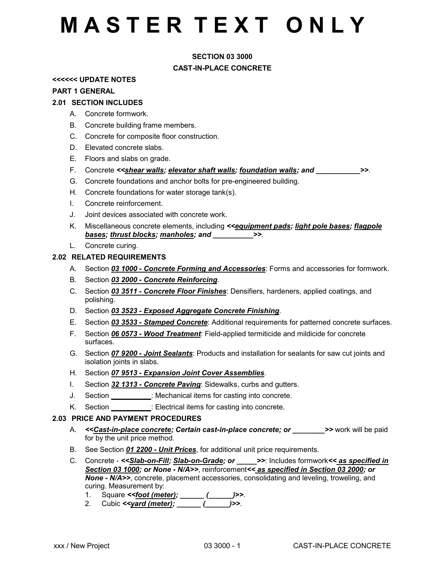### **SECTION 03 3000**

### **CAST-IN-PLACE CONCRETE**

#### **<<<<<< UPDATE NOTES**

#### **PART 1 GENERAL**

### **2.01 SECTION INCLUDES**

- A. Concrete formwork.
- B. Concrete building frame members.
- C. Concrete for composite floor construction.
- D. Elevated concrete slabs.
- E. Floors and slabs on grade.
- F. Concrete *<<shear walls; elevator shaft walls; foundation walls; and \_\_\_\_\_\_\_\_\_\_\_>>*.
- G. Concrete foundations and anchor bolts for pre-engineered building.
- H. Concrete foundations for water storage tank(s).
- I. Concrete reinforcement.
- J. Joint devices associated with concrete work.
- K. Miscellaneous concrete elements, including *<<equipment pads; light pole bases; flagpole bases; thrust blocks; manholes; and \_\_\_\_\_\_\_\_\_\_>>*.
- L. Concrete curing.

### **2.02 RELATED REQUIREMENTS**

- A. Section *03 1000 Concrete Forming and Accessories*: Forms and accessories for formwork.
- B. Section *03 2000 Concrete Reinforcing*.
- C. Section *03 3511 Concrete Floor Finishes*: Densifiers, hardeners, applied coatings, and polishing.
- D. Section *03 3523 Exposed Aggregate Concrete Finishing*.
- E. Section *03 3533 Stamped Concrete*: Additional requirements for patterned concrete surfaces.
- F. Section *06 0573 Wood Treatment*: Field-applied termiticide and mildicide for concrete surfaces.
- G. Section *07 9200 Joint Sealants*: Products and installation for sealants for saw cut joints and isolation joints in slabs.
- H. Section *07 9513 Expansion Joint Cover Assemblies*.
- I. Section *32 1313 Concrete Paving*: Sidewalks, curbs and gutters.
- J. Section *\_\_\_\_\_\_\_\_\_\_*: Mechanical items for casting into concrete.
- K. Section *\_\_\_\_\_\_\_\_\_\_*: Electrical items for casting into concrete.

#### **2.03 PRICE AND PAYMENT PROCEDURES**

- A. << Cast-in-place concrete; Certain cast-in-place concrete; or \_\_\_\_\_\_\_\_ >> work will be paid for by the unit price method.
- B. See Section *01 2200 Unit Prices*, for additional unit price requirements.
- C. Concrete *<<Slab-on-Fill; Slab-on-Grade; or \_\_\_\_\_>>*: Includes formwork*<< as specified in Section 03 1000; or None - N/A>>*, reinforcement*<< as specified in Section 03 2000; or None - N/A>>*, concrete, placement accessories, consolidating and leveling, troweling, and curing. Measurement by:
	- 1. Square *<<foot (meter); \_\_\_\_\_\_ (\_\_\_\_\_\_)>>*.
	- 2. Cubic *<<yard (meter); \_\_\_\_\_\_ (\_\_\_\_\_\_)>>*.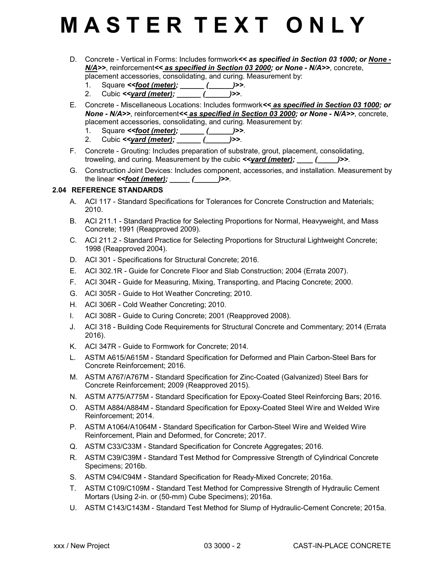- D. Concrete Vertical in Forms: Includes formwork*<< as specified in Section 03 1000; or None - N/A>>*, reinforcement*<< as specified in Section 03 2000; or None - N/A>>*, concrete, placement accessories, consolidating, and curing. Measurement by:
	- 1. Square *<<foot (meter); \_\_\_\_\_\_ (\_\_\_\_\_\_)>>*.
	- 2. Cubic *<<yard (meter); \_\_\_\_\_\_ (\_\_\_\_\_\_)>>*.
- E. Concrete Miscellaneous Locations: Includes formwork*<< as specified in Section 03 1000; or None - N/A>>*, reinforcement*<< as specified in Section 03 2000; or None - N/A>>*, concrete, placement accessories, consolidating, and curing. Measurement by:
	- 1. Square *<<foot (meter); \_\_\_\_\_\_ (\_\_\_\_\_\_)>>*.
	- 2. Cubic *<<yard (meter); \_\_\_\_\_\_ (\_\_\_\_\_\_)>>*.
- F. Concrete Grouting: Includes preparation of substrate, grout, placement, consolidating, troweling, and curing. Measurement by the cubic *<<yard (meter); \_\_\_\_ (\_\_\_\_\_)>>*.
- G. Construction Joint Devices: Includes component, accessories, and installation. Measurement by the linear  $\le$  *< foot (meter);* \_\_\_\_\_ (\_\_\_\_\_\_\_)>>.

### **2.04 REFERENCE STANDARDS**

- A. ACI 117 Standard Specifications for Tolerances for Concrete Construction and Materials; 2010.
- B. ACI 211.1 Standard Practice for Selecting Proportions for Normal, Heavyweight, and Mass Concrete; 1991 (Reapproved 2009).
- C. ACI 211.2 Standard Practice for Selecting Proportions for Structural Lightweight Concrete; 1998 (Reapproved 2004).
- D. ACI 301 Specifications for Structural Concrete; 2016.
- E. ACI 302.1R Guide for Concrete Floor and Slab Construction; 2004 (Errata 2007).
- F. ACI 304R Guide for Measuring, Mixing, Transporting, and Placing Concrete; 2000.
- G. ACI 305R Guide to Hot Weather Concreting; 2010.
- H. ACI 306R Cold Weather Concreting; 2010.
- I. ACI 308R Guide to Curing Concrete; 2001 (Reapproved 2008).
- J. ACI 318 Building Code Requirements for Structural Concrete and Commentary; 2014 (Errata 2016).
- K. ACI 347R Guide to Formwork for Concrete; 2014.
- L. ASTM A615/A615M Standard Specification for Deformed and Plain Carbon-Steel Bars for Concrete Reinforcement; 2016.
- M. ASTM A767/A767M Standard Specification for Zinc-Coated (Galvanized) Steel Bars for Concrete Reinforcement; 2009 (Reapproved 2015).
- N. ASTM A775/A775M Standard Specification for Epoxy-Coated Steel Reinforcing Bars; 2016.
- O. ASTM A884/A884M Standard Specification for Epoxy-Coated Steel Wire and Welded Wire Reinforcement; 2014.
- P. ASTM A1064/A1064M Standard Specification for Carbon-Steel Wire and Welded Wire Reinforcement, Plain and Deformed, for Concrete; 2017.
- Q. ASTM C33/C33M Standard Specification for Concrete Aggregates; 2016.
- R. ASTM C39/C39M Standard Test Method for Compressive Strength of Cylindrical Concrete Specimens; 2016b.
- S. ASTM C94/C94M Standard Specification for Ready-Mixed Concrete; 2016a.
- T. ASTM C109/C109M Standard Test Method for Compressive Strength of Hydraulic Cement Mortars (Using 2-in. or (50-mm) Cube Specimens); 2016a.
- U. ASTM C143/C143M Standard Test Method for Slump of Hydraulic-Cement Concrete; 2015a.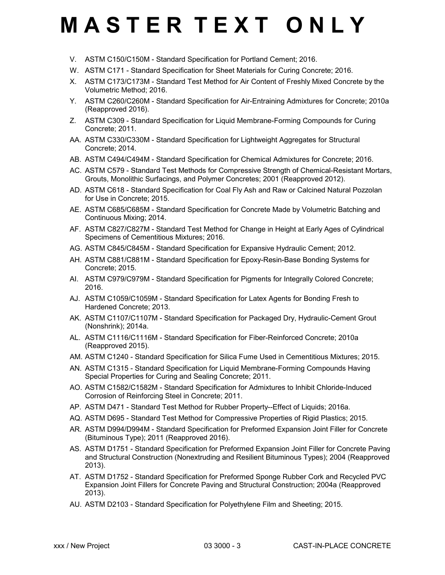- V. ASTM C150/C150M Standard Specification for Portland Cement; 2016.
- W. ASTM C171 Standard Specification for Sheet Materials for Curing Concrete; 2016.
- X. ASTM C173/C173M Standard Test Method for Air Content of Freshly Mixed Concrete by the Volumetric Method; 2016.
- Y. ASTM C260/C260M Standard Specification for Air-Entraining Admixtures for Concrete; 2010a (Reapproved 2016).
- Z. ASTM C309 Standard Specification for Liquid Membrane-Forming Compounds for Curing Concrete; 2011.
- AA. ASTM C330/C330M Standard Specification for Lightweight Aggregates for Structural Concrete; 2014.
- AB. ASTM C494/C494M Standard Specification for Chemical Admixtures for Concrete; 2016.
- AC. ASTM C579 Standard Test Methods for Compressive Strength of Chemical-Resistant Mortars, Grouts, Monolithic Surfacings, and Polymer Concretes; 2001 (Reapproved 2012).
- AD. ASTM C618 Standard Specification for Coal Fly Ash and Raw or Calcined Natural Pozzolan for Use in Concrete; 2015.
- AE. ASTM C685/C685M Standard Specification for Concrete Made by Volumetric Batching and Continuous Mixing; 2014.
- AF. ASTM C827/C827M Standard Test Method for Change in Height at Early Ages of Cylindrical Specimens of Cementitious Mixtures; 2016.
- AG. ASTM C845/C845M Standard Specification for Expansive Hydraulic Cement; 2012.
- AH. ASTM C881/C881M Standard Specification for Epoxy-Resin-Base Bonding Systems for Concrete; 2015.
- AI. ASTM C979/C979M Standard Specification for Pigments for Integrally Colored Concrete; 2016.
- AJ. ASTM C1059/C1059M Standard Specification for Latex Agents for Bonding Fresh to Hardened Concrete; 2013.
- AK. ASTM C1107/C1107M Standard Specification for Packaged Dry, Hydraulic-Cement Grout (Nonshrink); 2014a.
- AL. ASTM C1116/C1116M Standard Specification for Fiber-Reinforced Concrete; 2010a (Reapproved 2015).
- AM. ASTM C1240 Standard Specification for Silica Fume Used in Cementitious Mixtures; 2015.
- AN. ASTM C1315 Standard Specification for Liquid Membrane-Forming Compounds Having Special Properties for Curing and Sealing Concrete; 2011.
- AO. ASTM C1582/C1582M Standard Specification for Admixtures to Inhibit Chloride-Induced Corrosion of Reinforcing Steel in Concrete; 2011.
- AP. ASTM D471 Standard Test Method for Rubber Property--Effect of Liquids; 2016a.
- AQ. ASTM D695 Standard Test Method for Compressive Properties of Rigid Plastics; 2015.
- AR. ASTM D994/D994M Standard Specification for Preformed Expansion Joint Filler for Concrete (Bituminous Type); 2011 (Reapproved 2016).
- AS. ASTM D1751 Standard Specification for Preformed Expansion Joint Filler for Concrete Paving and Structural Construction (Nonextruding and Resilient Bituminous Types); 2004 (Reapproved 2013).
- AT. ASTM D1752 Standard Specification for Preformed Sponge Rubber Cork and Recycled PVC Expansion Joint Fillers for Concrete Paving and Structural Construction; 2004a (Reapproved 2013).
- AU. ASTM D2103 Standard Specification for Polyethylene Film and Sheeting; 2015.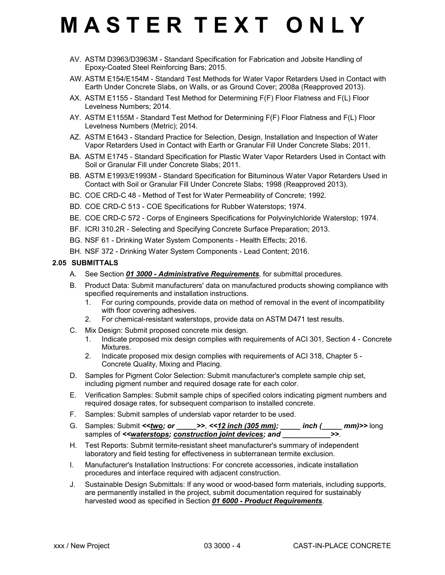- AV. ASTM D3963/D3963M Standard Specification for Fabrication and Jobsite Handling of Epoxy-Coated Steel Reinforcing Bars; 2015.
- AW. ASTM E154/E154M Standard Test Methods for Water Vapor Retarders Used in Contact with Earth Under Concrete Slabs, on Walls, or as Ground Cover; 2008a (Reapproved 2013).
- AX. ASTM E1155 Standard Test Method for Determining F(F) Floor Flatness and F(L) Floor Levelness Numbers; 2014.
- AY. ASTM E1155M Standard Test Method for Determining F(F) Floor Flatness and F(L) Floor Levelness Numbers (Metric); 2014.
- AZ. ASTM E1643 Standard Practice for Selection, Design, Installation and Inspection of Water Vapor Retarders Used in Contact with Earth or Granular Fill Under Concrete Slabs; 2011.
- BA. ASTM E1745 Standard Specification for Plastic Water Vapor Retarders Used in Contact with Soil or Granular Fill under Concrete Slabs; 2011.
- BB. ASTM E1993/E1993M Standard Specification for Bituminous Water Vapor Retarders Used in Contact with Soil or Granular Fill Under Concrete Slabs; 1998 (Reapproved 2013).
- BC. COE CRD-C 48 Method of Test for Water Permeability of Concrete; 1992.
- BD. COE CRD-C 513 COE Specifications for Rubber Waterstops; 1974.
- BE. COE CRD-C 572 Corps of Engineers Specifications for Polyvinylchloride Waterstop; 1974.
- BF. ICRI 310.2R Selecting and Specifying Concrete Surface Preparation; 2013.
- BG. NSF 61 Drinking Water System Components Health Effects; 2016.
- BH. NSF 372 Drinking Water System Components Lead Content; 2016.

#### **2.05 SUBMITTALS**

- A. See Section *01 3000 Administrative Requirements*, for submittal procedures.
- B. Product Data: Submit manufacturers' data on manufactured products showing compliance with specified requirements and installation instructions.
	- 1. For curing compounds, provide data on method of removal in the event of incompatibility with floor covering adhesives.
	- 2. For chemical-resistant waterstops, provide data on ASTM D471 test results.
- C. Mix Design: Submit proposed concrete mix design.
	- 1. Indicate proposed mix design complies with requirements of ACI 301, Section 4 Concrete Mixtures.
	- 2. Indicate proposed mix design complies with requirements of ACI 318, Chapter 5 Concrete Quality, Mixing and Placing.
- D. Samples for Pigment Color Selection: Submit manufacturer's complete sample chip set, including pigment number and required dosage rate for each color.
- E. Verification Samples: Submit sample chips of specified colors indicating pigment numbers and required dosage rates, for subsequent comparison to installed concrete.
- F. Samples: Submit samples of underslab vapor retarder to be used.
- G. Samples: Submit *<<two; or \_\_\_\_\_>>*, *<<12 inch (305 mm); \_\_\_\_\_ inch (\_\_\_\_\_ mm)>>* long samples of <<**waterstops; construction joint devices; and**
- H. Test Reports: Submit termite-resistant sheet manufacturer's summary of independent laboratory and field testing for effectiveness in subterranean termite exclusion.
- I. Manufacturer's Installation Instructions: For concrete accessories, indicate installation procedures and interface required with adjacent construction.
- J. Sustainable Design Submittals: If any wood or wood-based form materials, including supports, are permanently installed in the project, submit documentation required for sustainably harvested wood as specified in Section *01 6000 - Product Requirements*.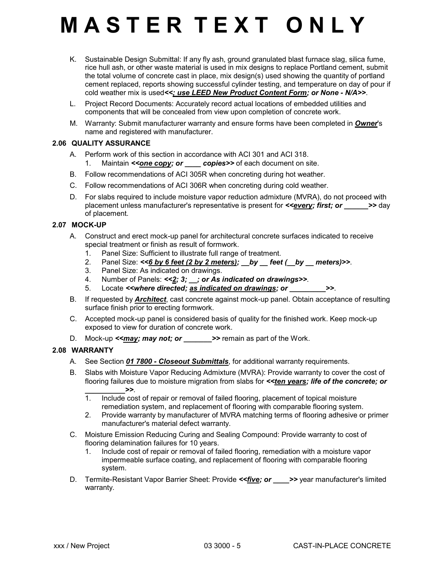- K. Sustainable Design Submittal: If any fly ash, ground granulated blast furnace slag, silica fume, rice hull ash, or other waste material is used in mix designs to replace Portland cement, submit the total volume of concrete cast in place, mix design(s) used showing the quantity of portland cement replaced, reports showing successful cylinder testing, and temperature on day of pour if cold weather mix is used*<<; use LEED New Product Content Form; or None - N/A>>*.
- L. Project Record Documents: Accurately record actual locations of embedded utilities and components that will be concealed from view upon completion of concrete work.
- M. Warranty: Submit manufacturer warranty and ensure forms have been completed in *Owner*'s name and registered with manufacturer.

### **2.06 QUALITY ASSURANCE**

- A. Perform work of this section in accordance with ACI 301 and ACI 318. 1. Maintain **<<one copy; or examples>>** of each document on site.
- B. Follow recommendations of ACI 305R when concreting during hot weather.
- C. Follow recommendations of ACI 306R when concreting during cold weather.
- D. For slabs required to include moisture vapor reduction admixture (MVRA), do not proceed with placement unless manufacturer's representative is present for *<<every; first; or* >> day of placement.

### **2.07 MOCK-UP**

- A. Construct and erect mock-up panel for architectural concrete surfaces indicated to receive special treatment or finish as result of formwork.
	- 1. Panel Size: Sufficient to illustrate full range of treatment.
	- 2. Panel Size:  $<<6$  by 6 feet (2 by 2 meters); \_\_by \_\_ feet (\_\_by \_\_ meters)>>.
	- 3. Panel Size: As indicated on drawings.
	- 4. Number of Panels: *<<2; 3; \_\_; or As indicated on drawings>>*.
	- 5. Locate *<where directed; as indicated on drawings; or* $\rightarrow$
- B. If requested by *Architect*, cast concrete against mock-up panel. Obtain acceptance of resulting surface finish prior to erecting formwork.
- C. Accepted mock-up panel is considered basis of quality for the finished work. Keep mock-up exposed to view for duration of concrete work.
- D. Mock-up **<<may; may not; or >>** remain as part of the Work.

### **2.08 WARRANTY**

- A. See Section *01 7800 Closeout Submittals*, for additional warranty requirements.
- B. Slabs with Moisture Vapor Reducing Admixture (MVRA): Provide warranty to cover the cost of flooring failures due to moisture migration from slabs for *<<ten years; life of the concrete; or*
	- **1** Include cos 1. Include cost of repair or removal of failed flooring, placement of topical moisture remediation system, and replacement of flooring with comparable flooring system.
	- 2. Provide warranty by manufacturer of MVRA matching terms of flooring adhesive or primer manufacturer's material defect warranty.
- C. Moisture Emission Reducing Curing and Sealing Compound: Provide warranty to cost of flooring delamination failures for 10 years.
	- 1. Include cost of repair or removal of failed flooring, remediation with a moisture vapor impermeable surface coating, and replacement of flooring with comparable flooring system.
- D. Termite-Resistant Vapor Barrier Sheet: Provide *<<five; or \_\_\_\_>>* year manufacturer's limited warranty.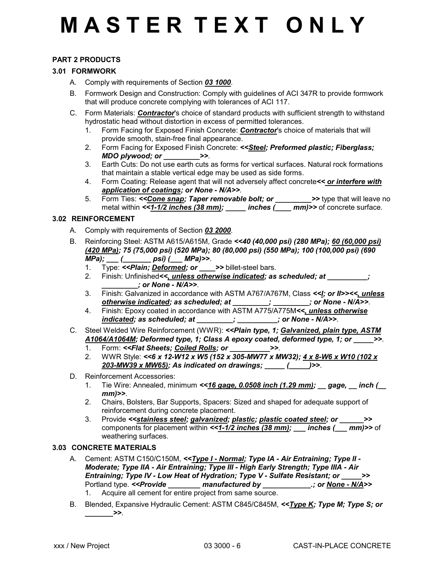### **PART 2 PRODUCTS**

#### **3.01 FORMWORK**

- A. Comply with requirements of Section *03 1000*.
- B. Formwork Design and Construction: Comply with guidelines of ACI 347R to provide formwork that will produce concrete complying with tolerances of ACI 117.
- C. Form Materials: *Contractor*'s choice of standard products with sufficient strength to withstand hydrostatic head without distortion in excess of permitted tolerances.
	- 1. Form Facing for Exposed Finish Concrete: *Contractor*'s choice of materials that will provide smooth, stain-free final appearance.
	- 2. Form Facing for Exposed Finish Concrete: *<<Steel; Preformed plastic; Fiberglass; MDO plywood; or \_\_\_\_\_\_\_\_\_>>*.
	- 3. Earth Cuts: Do not use earth cuts as forms for vertical surfaces. Natural rock formations that maintain a stable vertical edge may be used as side forms.
	- 4. Form Coating: Release agent that will not adversely affect concrete*<< or interfere with application of coatings; or None - N/A>>*.
	- 5. Form Ties: <<**Cone snap; Taper removable bolt; or \_\_\_\_\_\_\_\_>>** type that will leave no metal within <<**1-1/2 inches (38 mm); \_\_\_\_\_ inches (\_\_\_\_ mm)>>** of concrete surface.

#### **3.02 REINFORCEMENT**

- A. Comply with requirements of Section *03 2000*.
- B. Reinforcing Steel: ASTM A615/A615M, Grade *<<40 (40,000 psi) (280 MPa); 60 (60,000 psi) (420 MPa); 75 (75,000 psi) (520 MPa); 80 (80,000 psi) (550 MPa); 100 (100,000 psi) (690 MPa); \_\_\_ (\_\_\_\_\_\_\_ psi) (\_\_\_ MPa)>>*.
	- 1. Type: *<<Plain; Deformed; or \_\_\_\_>>* billet-steel bars.
	- 2. Finish: Unfinished*<<, unless otherwise indicated; as scheduled; at \_\_\_\_\_\_\_\_\_\_; \_\_\_\_\_\_\_\_\_; or None - N/A>>*.
	- 3. Finish: Galvanized in accordance with ASTM A767/A767M, Class *<<I; or II>><<, unless otherwise indicated; as scheduled; at \_\_\_\_\_\_\_\_\_; \_\_\_\_\_\_\_\_\_; or None - N/A>>*.
	- 4. Finish: Epoxy coated in accordance with ASTM A775/A775M*<<, unless otherwise indicated; as scheduled; at \_\_\_\_\_\_\_\_\_; \_\_\_\_\_\_\_\_\_\_; or None - N/A>>*.
- C. Steel Welded Wire Reinforcement (WWR): *<<Plain type, 1; Galvanized, plain type, ASTM A1064/A1064M; Deformed type, 1; Class A epoxy coated, deformed type, 1; or \_\_\_\_\_>>*.
	- 1. Form: *<<Flat Sheets; Coiled Rolls; or \_\_\_\_\_\_\_\_\_\_>>*.
	- 2. WWR Style: *<<6 x 12-W12 x W5 (152 x 305-MW77 x MW32); 4 x 8-W6 x W10 (102 x 203-MW39 x MW65); As indicated on drawings; \_\_\_\_\_ (\_\_\_\_\_)>>*.
- D. Reinforcement Accessories:
	- 1. Tie Wire: Annealed, minimum *<<16 gage, 0.0508 inch (1.29 mm); \_\_ gage, \_\_ inch (\_\_ mm)>>*.
	- 2. Chairs, Bolsters, Bar Supports, Spacers: Sized and shaped for adequate support of reinforcement during concrete placement.
	- 3. Provide *<<stainless steel; galvanized; plastic; plastic coated steel; or \_\_\_\_\_\_>>* components for placement within *<<1-1/2 inches (38 mm); \_\_\_ inches (\_\_\_ mm)>>* of weathering surfaces.

### **3.03 CONCRETE MATERIALS**

- A. Cement: ASTM C150/C150M, <<**Type I Normal; Type IA Air Entraining; Type II -***Moderate; Type IIA - Air Entraining; Type III - High Early Strength; Type IIIA - Air Entraining; Type IV - Low Heat of Hydration; Type V - Sulfate Resistant; or \_\_\_\_\_>>* Portland type. <<**Provide \_\_\_\_\_\_\_ manufactured by \_\_\_\_\_\_\_\_\_\_\_\_\_\_\_; or <u>None - N/A</u>>>** 1. Acquire all cement for entire project from same source.
- B. Blended, Expansive Hydraulic Cement: ASTM C845/C845M, *<<Type K; Type M; Type S; or \_\_\_\_\_\_\_>>*.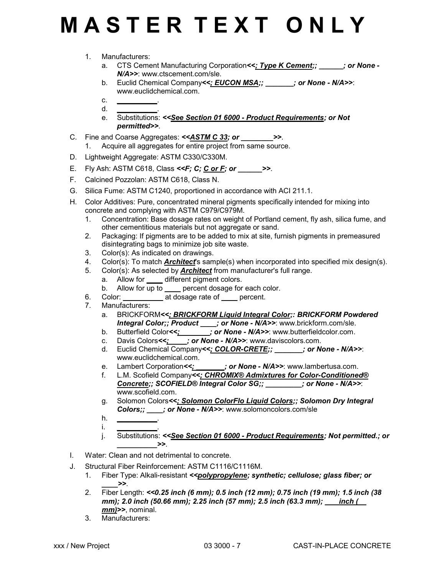- 1. Manufacturers:
	- a. CTS Cement Manufacturing Corporation*<<; Type K Cement;; \_\_\_\_\_\_; or None - N/A>>*: www.ctscement.com/sle.
	- b. Euclid Chemical Company*<<; EUCON MSA;; \_\_\_\_\_\_\_; or None N/A>>*: www.euclidchemical.com.
	- c. *\_\_\_\_\_\_\_\_\_\_*. d. *\_\_\_\_\_\_\_\_\_\_*.
	- e. Substitutions: *<<See Section 01 6000 Product Requirements; or Not permitted>>*.
- C. Fine and Coarse Aggregates: *<<ASTM C 33; or \_\_\_\_\_\_\_\_>>*.
	- 1. Acquire all aggregates for entire project from same source.
- D. Lightweight Aggregate: ASTM C330/C330M.
- E. Fly Ash: ASTM C618, Class *<<F; C; C or F; or \_\_\_\_\_\_>>*.
- F. Calcined Pozzolan: ASTM C618, Class N.
- G. Silica Fume: ASTM C1240, proportioned in accordance with ACI 211.1.
- H. Color Additives: Pure, concentrated mineral pigments specifically intended for mixing into concrete and complying with ASTM C979/C979M.
	- 1. Concentration: Base dosage rates on weight of Portland cement, fly ash, silica fume, and other cementitious materials but not aggregate or sand.
	- 2. Packaging: If pigments are to be added to mix at site, furnish pigments in premeasured disintegrating bags to minimize job site waste.
	- 3. Color(s): As indicated on drawings.
	- 4. Color(s): To match *Architect*'s sample(s) when incorporated into specified mix design(s).
	- 5. Color(s): As selected by *Architect* from manufacturer's full range.
		- a. Allow for *\_\_\_\_* different pigment colors.
		- b. Allow for up to *\_\_\_\_* percent dosage for each color.
	- 6. Color: *\_\_\_\_\_\_\_\_\_\_* at dosage rate of *\_\_\_\_* percent.
	- 7. Manufacturers:
		- a. BRICKFORM*<<; BRICKFORM Liquid Integral Color;: BRICKFORM Powdered Integral Color;; Product \_\_\_\_; or None - N/A>>*: www.brickform.com/sle.
		- b. Butterfield Color<<;  $\cdot$  ; or None N/A>>: www.butterfieldcolor.com.
		- c. Davis Colors*<<; \_\_\_\_; or None N/A>>*: www.daviscolors.com.
		- d. Euclid Chemical Company*<<; COLOR-CRETE;; \_\_\_\_\_\_\_; or None N/A>>*: www.euclidchemical.com.
		- e. Lambert Corporation<>>>: yor None N/A>>: www.lambertusa.com.
		- f. L.M. Scofield Company*<<; CHROMIX® Admixtures for Color-Conditioned® Concrete;; SCOFIELD® Integral Color SG;; \_\_\_\_\_\_\_\_\_; or None - N/A>>*: www.scofield.com.
		- g. Solomon Colors*<<; Solomon ColorFlo Liquid Colors;; Solomon Dry Integral Colors;; \_\_\_\_; or None - N/A>>*: www.solomoncolors.com/sle
		- h. *\_\_\_\_\_\_\_\_\_\_*. i. *\_\_\_\_\_\_\_\_\_\_*.
		- j. Substitutions: *<<See Section 01 6000 Product Requirements; Not permitted.; or \_\_\_\_\_\_\_\_\_\_>>*.
- I. Water: Clean and not detrimental to concrete.
- J. Structural Fiber Reinforcement: ASTM C1116/C1116M.
	- 1. Fiber Type: Alkali-resistant *<<polypropylene; synthetic; cellulose; glass fiber; or \_\_\_\_>>*.
	- 2. Fiber Length: *<<0.25 inch (6 mm); 0.5 inch (12 mm); 0.75 inch (19 mm); 1.5 inch (38 mm); 2.0 inch (50.66 mm); 2.25 inch (57 mm); 2.5 inch (63.3 mm); \_\_\_ inch (\_\_ mm)>>*, nominal.
	- 3. Manufacturers: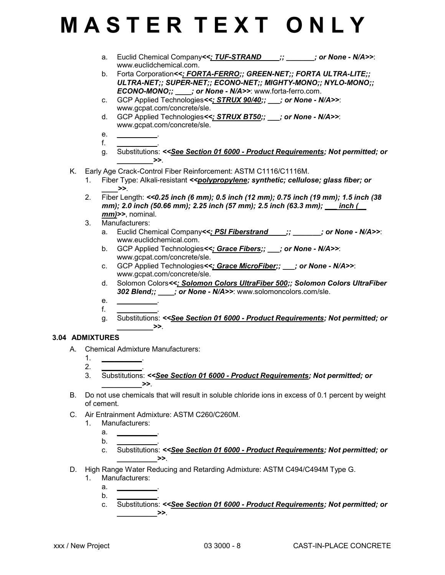- a. Euclid Chemical Company*<<; TUF-STRAND \_\_\_\_;; \_\_\_\_\_\_\_; or None N/A>>*: www.euclidchemical.com.
- b. Forta Corporation*<<; FORTA-FERRO;; GREEN-NET;; FORTA ULTRA-LITE;; ULTRA-NET;; SUPER-NET;; ECONO-NET;; MIGHTY-MONO;; NYLO-MONO;; ECONO-MONO;; \_\_\_\_; or None - N/A>>*: www.forta-ferro.com.
- c. GCP Applied Technologies*<<; STRUX 90/40;; \_\_\_; or None N/A>>*: www.gcpat.com/concrete/sle.
- d. GCP Applied Technologies*<<; STRUX BT50;; \_\_\_; or None N/A>>*: www.gcpat.com/concrete/sle.
- e. *\_\_\_\_\_\_\_\_\_\_*. f. *\_\_\_\_\_\_\_\_\_\_*.
- g. Substitutions: *<<See Section 01 6000 Product Requirements; Not permitted; or \_\_\_\_\_\_\_\_\_>>*.
- K. Early Age Crack-Control Fiber Reinforcement: ASTM C1116/C1116M.
	- 1. Fiber Type: Alkali-resistant *<<polypropylene; synthetic; cellulose; glass fiber; or \_\_\_\_>>*.
	- 2. Fiber Length: *<<0.25 inch (6 mm); 0.5 inch (12 mm); 0.75 inch (19 mm); 1.5 inch (38 mm); 2.0 inch (50.66 mm); 2.25 inch (57 mm); 2.5 inch (63.3 mm); \_\_\_ inch (\_\_ mm)>>*, nominal.
	- 3. Manufacturers:
		- a. Euclid Chemical Company<<: PSI Fiberstrand \_\_\_;; \_\_\_\_\_\_\_; or None N/A>>: www.euclidchemical.com.
		- b. GCP Applied Technologies*<<; Grace Fibers;; \_\_\_; or None N/A>>*: www.gcpat.com/concrete/sle.
		- c. GCP Applied Technologies*<<; Grace MicroFiber;; \_\_\_; or None N/A>>*: www.gcpat.com/concrete/sle.
		- d. Solomon Colors*<<; Solomon Colors UltraFiber 500;; Solomon Colors UltraFiber 302 Blend;; \_\_\_\_; or None - N/A>>*: www.solomoncolors.com/sle.
		- e. *\_\_\_\_\_\_\_\_\_\_*. f. *\_\_\_\_\_\_\_\_\_\_*.
		- g. Substitutions: *<<See Section 01 6000 Product Requirements; Not permitted; or*  $\rightarrow$

### **3.04 ADMIXTURES**

- A. Chemical Admixture Manufacturers:
	- 1. *\_\_\_\_\_\_\_\_\_\_*.
	- 2. *\_\_\_\_\_\_\_\_\_\_*. 3. Substitutions: *<<See Section 01 6000 - Product Requirements; Not permitted; or*  $\ge$
- B. Do not use chemicals that will result in soluble chloride ions in excess of 0.1 percent by weight of cement.
- C. Air Entrainment Admixture: ASTM C260/C260M.
	- 1. Manufacturers:
		- a. *\_\_\_\_\_\_\_\_\_\_*.
		- b. *\_\_\_\_\_\_\_\_\_\_*.
		- c. Substitutions: *<<See Section 01 6000 Product Requirements; Not permitted; or*  $\geq$
- D. High Range Water Reducing and Retarding Admixture: ASTM C494/C494M Type G.
	- 1. Manufacturers:
		- a. *\_\_\_\_\_\_\_\_\_\_*.
		- b. *\_\_\_\_\_\_\_\_\_\_*. c. Substitutions: *<<See Section 01 6000 - Product Requirements; Not permitted; or*  $\rightarrow$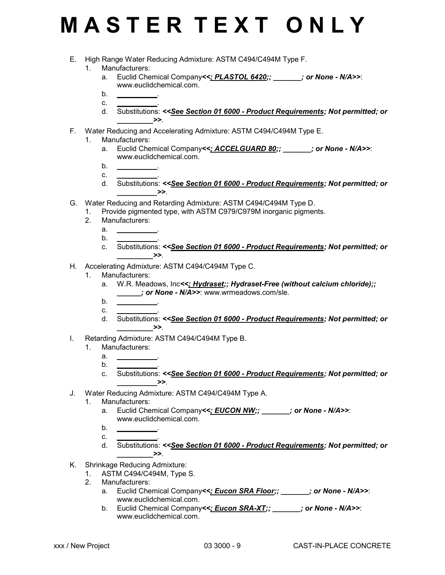- E. High Range Water Reducing Admixture: ASTM C494/C494M Type F.
	- 1. Manufacturers:
		- a. Euclid Chemical Company<<: PLASTOL 6420;; \_\_\_\_\_\_\_; or None N/A>>: www.euclidchemical.com.
		- **.** c. *\_\_\_\_\_\_\_\_\_\_*.
		- d. Substitutions: *<<See Section 01 6000 Product Requirements; Not permitted; or \_\_\_\_\_\_\_\_\_>>*.
- F. Water Reducing and Accelerating Admixture: ASTM C494/C494M Type E.
	- 1. Manufacturers:
		- a. Euclid Chemical Company<<; ACCELGUARD 80;; **example 2** or None N/A>>: www.euclidchemical.com.
		- $b<sub>r</sub>$ c. *\_\_\_\_\_\_\_\_\_\_*.
		- d. Substitutions: *<<See Section 01 6000 Product Requirements; Not permitted; or \_\_\_\_\_\_\_\_\_\_>>*.
- G. Water Reducing and Retarding Admixture: ASTM C494/C494M Type D.
	- 1. Provide pigmented type, with ASTM C979/C979M inorganic pigments.
	- 2. Manufacturers:
		- a. *\_\_\_\_\_\_\_\_\_\_*.
		- b. *\_\_\_\_\_\_\_\_\_\_*.
		- c. Substitutions: *<<See Section 01 6000 Product Requirements; Not permitted; or \_\_\_\_\_\_\_\_\_>>*.
- H. Accelerating Admixture: ASTM C494/C494M Type C.
	- 1. Manufacturers:
		- a. W.R. Meadows, Inc*<<; Hydraset;; Hydraset-Free (without calcium chloride);; \_\_\_\_\_\_; or None - N/A>>*: www.wrmeadows.com/sle.
		- $b<sub>z</sub>$ c. *\_\_\_\_\_\_\_\_\_\_*.
		- d. Substitutions: *<<See Section 01 6000 Product Requirements; Not permitted; or \_\_\_\_\_\_\_\_\_>>*.
- I. Retarding Admixture: ASTM C494/C494M Type B.
	- 1. Manufacturers:
		- a. *\_\_\_\_\_\_\_\_\_\_*.
		- $b<sub>1</sub>$
		- c. Substitutions: *<<See Section 01 6000 Product Requirements; Not permitted; or*  $\rightarrow$
- J. Water Reducing Admixture: ASTM C494/C494M Type A.
	- 1. Manufacturers:
		- a. Euclid Chemical Company*<<; EUCON NW;; \_\_\_\_\_\_\_; or None N/A>>*: www.euclidchemical.com.
		- b. *\_\_\_\_\_\_\_\_\_\_*.
		- c. *\_\_\_\_\_\_\_\_\_\_*.
		- d. Substitutions: *<<See Section 01 6000 Product Requirements; Not permitted; or \_\_\_\_\_\_\_\_\_>>*.
- K. Shrinkage Reducing Admixture:
	- 1. ASTM C494/C494M, Type S.<br>2. Manufacturers:
	- Manufacturers:
		- a. Euclid Chemical Company*<<; Eucon SRA Floor;; \_\_\_\_\_\_\_; or None N/A>>*: www.euclidchemical.com.
		- b. Euclid Chemical Company<<; Eucon SRA-XT;;  $\cdot$  ; or None N/A>>: www.euclidchemical.com.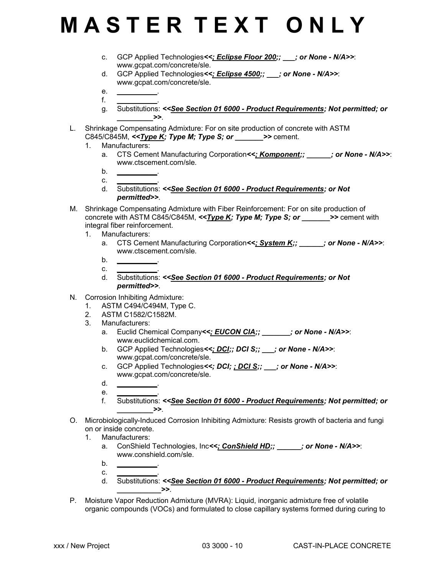- c. GCP Applied Technologies*<<; Eclipse Floor 200;; \_\_\_; or None N/A>>*: www.gcpat.com/concrete/sle.
- d. GCP Applied Technologies*<<; Eclipse 4500;; \_\_\_; or None N/A>>*: www.gcpat.com/concrete/sle.
- e. *\_\_\_\_\_\_\_\_\_\_*. f. *\_\_\_\_\_\_\_\_\_\_*.
- g. Substitutions: *<<See Section 01 6000 Product Requirements; Not permitted; or \_\_\_\_\_\_\_\_\_>>*.
- L. Shrinkage Compensating Admixture: For on site production of concrete with ASTM C845/C845M, *<<Type K; Type M; Type S; or \_\_\_\_\_\_\_>>* cement.
	- 1. Manufacturers:
		- a. CTS Cement Manufacturing Corporation*<<; Komponent;; \_\_\_\_\_\_; or None N/A>>*: www.ctscement.com/sle.
		- b. *\_\_\_\_\_\_\_\_\_\_*. c. *\_\_\_\_\_\_\_\_\_\_*.
		- d. Substitutions: *<<See Section 01 6000 Product Requirements; or Not permitted>>*.
- M. Shrinkage Compensating Admixture with Fiber Reinforcement: For on site production of concrete with ASTM C845/C845M, *<<Type K; Type M; Type S; or \_\_\_\_\_\_\_>>* cement with integral fiber reinforcement.
	- 1. Manufacturers:
		- a. CTS Cement Manufacturing Corporation*<<; System K;; \_\_\_\_\_\_; or None N/A>>*: www.ctscement.com/sle.
		- b. *\_\_\_\_\_\_\_\_\_\_*.
		- c. *\_\_\_\_\_\_\_\_\_\_*.
		- d. Substitutions: *<<See Section 01 6000 Product Requirements; or Not permitted>>*.
- N. Corrosion Inhibiting Admixture:
	- 1. ASTM C494/C494M, Type C.
	- 2. ASTM C1582/C1582M.
	- 3. Manufacturers:
		- a. Euclid Chemical Company<<; **EUCON CIA**;; **accompany** or **None N/A>>**: www.euclidchemical.com.
		- b. GCP Applied Technologies*<<; DCI;; DCI S;; \_\_\_; or None N/A>>*: www.gcpat.com/concrete/sle.
		- c. GCP Applied Technologies*<<; DCI; ; DCI S;; \_\_\_; or None N/A>>*: www.gcpat.com/concrete/sle.
		- d. *\_\_\_\_\_\_\_\_\_\_*. e. *\_\_\_\_\_\_\_\_\_\_*.
		- f. Substitutions: *<<See Section 01 6000 Product Requirements; Not permitted; or*  $\rightarrow$
- O. Microbiologically-Induced Corrosion Inhibiting Admixture: Resists growth of bacteria and fungi on or inside concrete.
	- 1. Manufacturers:
		- a. ConShield Technologies, Inc<<; ConShield HD;;  $\cdot$  ; or None N/A>>: www.conshield.com/sle.
		- b. *\_\_\_\_\_\_\_\_\_\_*.
		- c. *\_\_\_\_\_\_\_\_\_\_*. d. Substitutions: *<<See Section 01 6000 - Product Requirements; Not permitted; or*  $\rightarrow$
- P. Moisture Vapor Reduction Admixture (MVRA): Liquid, inorganic admixture free of volatile organic compounds (VOCs) and formulated to close capillary systems formed during curing to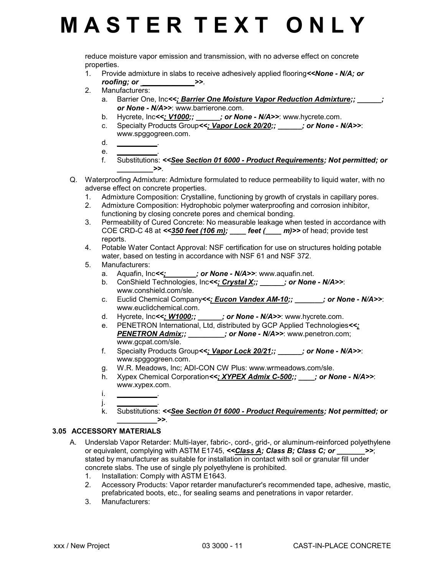reduce moisture vapor emission and transmission, with no adverse effect on concrete properties.

- 1. Provide admixture in slabs to receive adhesively applied flooring*<<None N/A; or roofing; or \_\_\_\_\_\_\_\_\_\_\_\_\_\_\_>>.*
- 2. Manufacturers:
	- a. Barrier One, Inc<<; Barrier One Moisture Vapor Reduction Admixture;; \_\_\_\_\_\_; *or None - N/A>>*: www.barrierone.com.
	- b. Hycrete, Inc<<; V1000;;  $\cdots$ ; or None N/A>>: www.hycrete.com.
	- c. Specialty Products Group*<<; Vapor Lock 20/20;; \_\_\_\_\_\_; or None N/A>>*: www.spggogreen.com.
	- d. *\_\_\_\_\_\_\_\_\_\_*. e. *\_\_\_\_\_\_\_\_\_\_*.
	- f. Substitutions: *<<See Section 01 6000 Product Requirements; Not permitted; or*  $\rightarrow$
- Q. Waterproofing Admixture: Admixture formulated to reduce permeability to liquid water, with no adverse effect on concrete properties.
	- 1. Admixture Composition: Crystalline, functioning by growth of crystals in capillary pores.
	- 2. Admixture Composition: Hydrophobic polymer waterproofing and corrosion inhibitor, functioning by closing concrete pores and chemical bonding.
	- 3. Permeability of Cured Concrete: No measurable leakage when tested in accordance with COE CRD-C 48 at *<<350 feet (106 m); \_\_\_\_ feet (\_\_\_\_ m)>>* of head; provide test reports.
	- 4. Potable Water Contact Approval: NSF certification for use on structures holding potable water, based on testing in accordance with NSF 61 and NSF 372.
	- 5. Manufacturers:
		- a. Aquafin, Inc<<;  $\cdots$  ; or None N/A>>: www.aquafin.net.
		- b. ConShield Technologies, Inc*<<; Crystal X;; \_\_\_\_\_\_; or None N/A>>*: www.conshield.com/sle.
		- c. Euclid Chemical Company*<<; Eucon Vandex AM-10;; \_\_\_\_\_\_\_; or None N/A>>*: www.euclidchemical.com.
		- d. Hycrete, Inc*<<; W1000;; \_\_\_\_\_\_; or None N/A>>*: www.hycrete.com.
		- e. PENETRON International, Ltd, distributed by GCP Applied Technologies*<<; PENETRON Admix;; \_\_\_\_\_\_\_\_\_; or None - N/A>>*: www.penetron.com; www.gcpat.com/sle.
		- f. Specialty Products Group*<<; Vapor Lock 20/21;; \_\_\_\_\_\_; or None N/A>>*: www.spggogreen.com.
		- g. W.R. Meadows, Inc; ADI-CON CW Plus: www.wrmeadows.com/sle.
		- h. Xypex Chemical Corporation*<<; XYPEX Admix C-500;; \_\_\_\_; or None N/A>>*: www.xypex.com.
		- i. *\_\_\_\_\_\_\_\_\_\_*.
		- j. *\_\_\_\_\_\_\_\_\_\_*. k. Substitutions: *<<See Section 01 6000 - Product Requirements; Not permitted; or*  $\rightarrow$

### **3.05 ACCESSORY MATERIALS**

- A. Underslab Vapor Retarder: Multi-layer, fabric-, cord-, grid-, or aluminum-reinforced polyethylene or equivalent, complying with ASTM E1745,  $\leq$ Class A; Class B; Class C; or \_\_\_\_\_\_\_\_>>; stated by manufacturer as suitable for installation in contact with soil or granular fill under concrete slabs. The use of single ply polyethylene is prohibited.
	- 1. Installation: Comply with ASTM E1643.
	- 2. Accessory Products: Vapor retarder manufacturer's recommended tape, adhesive, mastic, prefabricated boots, etc., for sealing seams and penetrations in vapor retarder.
	- 3. Manufacturers: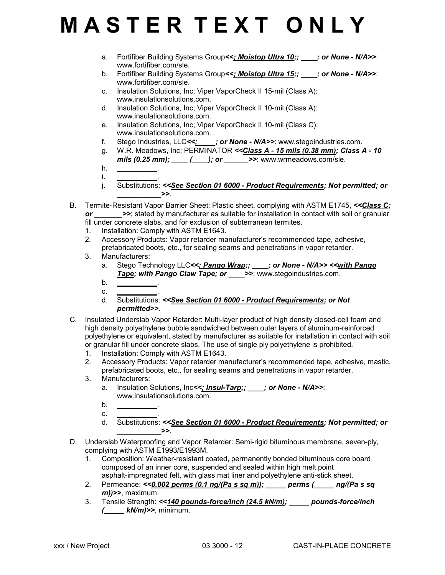- a. Fortifiber Building Systems Group*<<; Moistop Ultra 10;; \_\_\_\_; or None N/A>>*: www.fortifiber.com/sle.
- b. Fortifiber Building Systems Group*<<; Moistop Ultra 15;; \_\_\_\_; or None N/A>>*: www.fortifiber.com/sle.
- c. Insulation Solutions, Inc; Viper VaporCheck II 15-mil (Class A): www.insulationsolutions.com.
- d. Insulation Solutions, Inc; Viper VaporCheck II 10-mil (Class A): www.insulationsolutions.com.
- e. Insulation Solutions, Inc; Viper VaporCheck II 10-mil (Class C): www.insulationsolutions.com.
- f. Stego Industries, LLC*<<; \_\_\_\_; or None N/A>>*: www.stegoindustries.com.
- g. W.R. Meadows, Inc; PERMINATOR *<<Class A 15 mils (0.38 mm); Class A 10 mils (0.25 mm); \_\_\_\_ (\_\_\_\_); or \_\_\_\_\_\_>>*: www.wrmeadows.com/sle.
- h. *\_\_\_\_\_\_\_\_\_\_*. i. *\_\_\_\_\_\_\_\_\_\_*.
- j. Substitutions: *<<See Section 01 6000 Product Requirements; Not permitted; or*  $\rightarrow$
- B. Termite-Resistant Vapor Barrier Sheet: Plastic sheet, complying with ASTM E1745, <<*Class C; or*  $\rightarrow$  >>; stated by manufacturer as suitable for installation in contact with soil or granular fill under concrete slabs, and for exclusion of subterranean termites.
	- 1. Installation: Comply with ASTM E1643.
	- 2. Accessory Products: Vapor retarder manufacturer's recommended tape, adhesive, prefabricated boots, etc., for sealing seams and penetrations in vapor retarder.
	- 3. Manufacturers:
		- a. Stego Technology LLC*<<; Pango Wrap;; \_\_\_\_; or None N/A>> <<with Pango Tape; with Pango Claw Tape; or \_\_\_\_>>*: www.stegoindustries.com.
		- b. *\_\_\_\_\_\_\_\_\_\_*.
		- c. *\_\_\_\_\_\_\_\_\_\_*. d. Substitutions: *<<See Section 01 6000 - Product Requirements; or Not permitted>>*.
- C. Insulated Underslab Vapor Retarder: Multi-layer product of high density closed-cell foam and high density polyethylene bubble sandwiched between outer layers of aluminum-reinforced polyethylene or equivalent, stated by manufacturer as suitable for installation in contact with soil or granular fill under concrete slabs. The use of single ply polyethylene is prohibited.
	- 1. Installation: Comply with ASTM E1643.
	- 2. Accessory Products: Vapor retarder manufacturer's recommended tape, adhesive, mastic, prefabricated boots, etc., for sealing seams and penetrations in vapor retarder.
	- 3. Manufacturers:
		- a. Insulation Solutions, Inc*<<; Insul-Tarp;; \_\_\_\_; or None N/A>>*: www.insulationsolutions.com.
		- b. *\_\_\_\_\_\_\_\_\_\_*.
		- c. *\_\_\_\_\_\_\_\_\_\_*. d. Substitutions: *<<See Section 01 6000 - Product Requirements; Not permitted; or*  $\rightarrow$
- D. Underslab Waterproofing and Vapor Retarder: Semi-rigid bituminous membrane, seven-ply, complying with ASTM E1993/E1993M.
	- 1. Composition: Weather-resistant coated, permanently bonded bituminous core board composed of an inner core, suspended and sealed within high melt point asphalt-impregnated felt, with glass mat liner and polyethylene anti-stick sheet.
	- 2. Permeance: *<<0.002 perms (0.1 ng/(Pa s sq m)); \_\_\_\_\_ perms (\_\_\_\_\_ ng/(Pa s sq m))>>*, maximum.
	- 3. Tensile Strength: *<<140 pounds-force/inch (24.5 kN/m); \_\_\_\_\_ pounds-force/inch (\_\_\_\_\_ kN/m)>>*, minimum.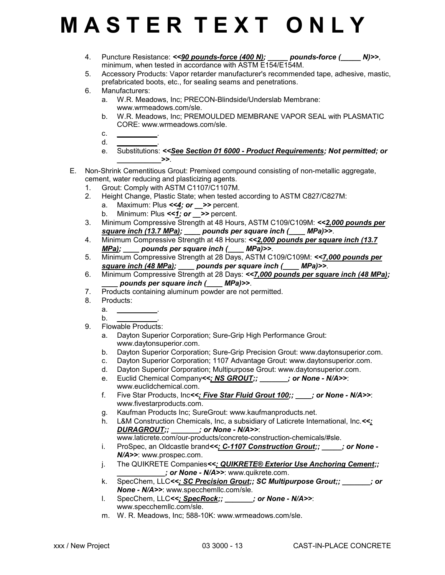- 4. Puncture Resistance: *<<90 pounds-force (400 N); \_\_\_\_\_ pounds-force (\_\_\_\_\_ N)>>*, minimum, when tested in accordance with ASTM E154/E154M.
- 5. Accessory Products: Vapor retarder manufacturer's recommended tape, adhesive, mastic, prefabricated boots, etc., for sealing seams and penetrations.
- 6. Manufacturers:
	- a. W.R. Meadows, Inc; PRECON-Blindside/Underslab Membrane: www.wrmeadows.com/sle.
	- b. W.R. Meadows, Inc; PREMOULDED MEMBRANE VAPOR SEAL with PLASMATIC CORE: www.wrmeadows.com/sle.
	- c. *\_\_\_\_\_\_\_\_\_\_*.
	- d. *\_\_\_\_\_\_\_\_\_\_*.
	- e. Substitutions: *<<See Section 01 6000 Product Requirements; Not permitted; or \_\_\_\_\_\_\_\_\_\_\_>>*.
- E. Non-Shrink Cementitious Grout: Premixed compound consisting of non-metallic aggregate, cement, water reducing and plasticizing agents.
	- 1. Grout: Comply with ASTM C1107/C1107M.
	- 2. Height Change, Plastic State; when tested according to ASTM C827/C827M:
		- a. Maximum: Plus <<4; or > > percent.
		- b. Minimum: Plus  $\leq 1$ ; or  $\geq$  > percent.
	- 3. Minimum Compressive Strength at 48 Hours, ASTM C109/C109M: *<<2,000 pounds per square inch (13.7 MPa); \_\_\_\_ pounds per square inch (\_\_\_\_ MPa)>>*.
	- 4. Minimum Compressive Strength at 48 Hours: *<<2,000 pounds per square inch (13.7 MPa); \_\_\_\_ pounds per square inch (\_\_\_\_ MPa)>>*.
	- 5. Minimum Compressive Strength at 28 Days, ASTM C109/C109M: *<<7,000 pounds per square inch (48 MPa); \_\_\_\_ pounds per square inch (\_\_\_\_ MPa)>>*.
	- 6. Minimum Compressive Strength at 28 Days: *<<7,000 pounds per square inch (48 MPa); \_\_\_\_ pounds per square inch (\_\_\_\_ MPa)>>*.
	- 7. Products containing aluminum powder are not permitted.<br>8. Products:
	- Products:
		- a. *\_\_\_\_\_\_\_\_\_\_*.
	- b. *\_\_\_\_\_\_\_\_\_\_*. 9. Flowable Products:
		- a. Dayton Superior Corporation; Sure-Grip High Performance Grout: www.daytonsuperior.com.
		- b. Dayton Superior Corporation; Sure-Grip Precision Grout: www.daytonsuperior.com.
		- c. Dayton Superior Corporation; 1107 Advantage Grout: www.daytonsuperior.com.
		- d. Dayton Superior Corporation; Multipurpose Grout: www.daytonsuperior.com.
		- e. Euclid Chemical Company*<<; NS GROUT;; \_\_\_\_\_\_\_; or None N/A>>*: www.euclidchemical.com.
		- f. Five Star Products, Inc*<<; Five Star Fluid Grout 100;; \_\_\_\_; or None N/A>>*: www.fivestarproducts.com.
		- g. Kaufman Products Inc; SureGrout: www.kaufmanproducts.net.
		- h. L&M Construction Chemicals, Inc, a subsidiary of Laticrete International, Inc.*<<; DURAGROUT;; \_\_\_\_\_\_\_; or None - N/A>>*:

www.laticrete.com/our-products/concrete-construction-chemicals/#sle.

- i. ProSpec, an Oldcastle brand*<<; C-1107 Construction Grout;; \_\_\_\_\_; or None - N/A>>*: www.prospec.com.
- j. The QUIKRETE Companies*<<; QUIKRETE® Exterior Use Anchoring Cement;; \_\_\_\_\_\_\_\_\_\_\_\_; or None - N/A>>*: www.quikrete.com.
- k. SpecChem, LLC*<<; SC Precision Grout;; SC Multipurpose Grout;; \_\_\_\_\_\_\_; or None - N/A>>*: www.specchemllc.com/sle.
- l. SpecChem, LLC*<<; SpecRock;; \_\_\_\_\_\_\_; or None N/A>>*: www.specchemllc.com/sle.
- m. W. R. Meadows, Inc; 588-10K: www.wrmeadows.com/sle.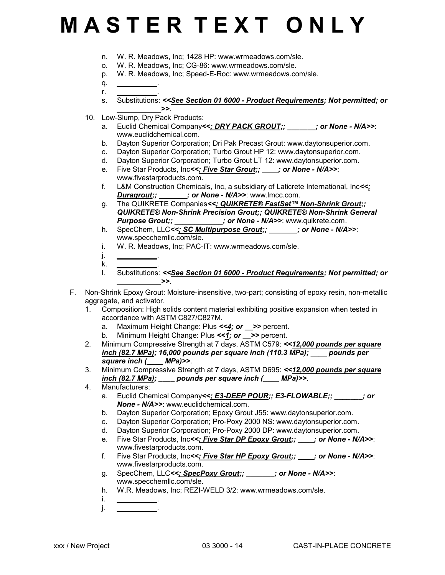- n. W. R. Meadows, Inc; 1428 HP: www.wrmeadows.com/sle.
- o. W. R. Meadows, Inc; CG-86: www.wrmeadows.com/sle.
- p. W. R. Meadows, Inc; Speed-E-Roc: www.wrmeadows.com/sle.
- q. *\_\_\_\_\_\_\_\_\_\_*. r. *\_\_\_\_\_\_\_\_\_\_*.
- s. Substitutions: *<<See Section 01 6000 Product Requirements; Not permitted; or*  $\rightarrow$
- 10. Low-Slump, Dry Pack Products:
	- a. Euclid Chemical Company<<; DRY PACK GROUT;;  $\blacksquare$ ; or None N/A>>: www.euclidchemical.com.
	- b. Dayton Superior Corporation; Dri Pak Precast Grout: www.daytonsuperior.com.
	- c. Dayton Superior Corporation; Turbo Grout HP 12: www.daytonsuperior.com.
	- d. Dayton Superior Corporation; Turbo Grout LT 12: www.daytonsuperior.com.
	- e. Five Star Products, Inc*<<; Five Star Grout;; \_\_\_\_; or None N/A>>*: www.fivestarproducts.com.
	- f. L&M Construction Chemicals, Inc, a subsidiary of Laticrete International, Inc*<<; Duragrout;; \_\_\_\_\_\_\_; or None - N/A>>*: www.lmcc.com.
	- g. The QUIKRETE Companies*<<; QUIKRETE® FastSet™ Non-Shrink Grout;; QUIKRETE® Non-Shrink Precision Grout;; QUIKRETE® Non-Shrink General* Purpose Grout;; \_\_\_\_\_\_\_\_\_\_; or None - N/A>>: www.quikrete.com.
	- h. SpecChem, LLC*<<; SC Multipurpose Grout;; \_\_\_\_\_\_\_; or None N/A>>*: www.specchemllc.com/sle.
	- i. W. R. Meadows, Inc; PAC-IT: www.wrmeadows.com/sle.
	- j. *\_\_\_\_\_\_\_\_\_\_*.
	- k. *\_\_\_\_\_\_\_\_\_\_*.
	- l. Substitutions: *<<See Section 01 6000 Product Requirements; Not permitted; or \_\_\_\_\_\_\_\_\_\_\_>>*.
- F. Non-Shrink Epoxy Grout: Moisture-insensitive, two-part; consisting of epoxy resin, non-metallic aggregate, and activator.
	- 1. Composition: High solids content material exhibiting positive expansion when tested in accordance with ASTM C827/C827M.
		- a. Maximum Height Change: Plus <<4; or >> percent.
		- b. Minimum Height Change: Plus <<1; or >> percent.
	- 2. Minimum Compressive Strength at 7 days, ASTM C579: *<<12,000 pounds per square inch (82.7 MPa); 16,000 pounds per square inch (110.3 MPa); \_\_\_\_ pounds per square inch (\_\_\_\_ MPa)>>*.
	- 3. Minimum Compressive Strength at 7 days, ASTM D695: *<<12,000 pounds per square inch (82.7 MPa); \_\_\_\_ pounds per square inch (\_\_\_\_ MPa)>>*.
	- 4. Manufacturers:
		- a. Euclid Chemical Company<<; E3-DEEP POUR;; E3-FLOWABLE;;  $\cdot$  ; or *None - N/A>>*: www.euclidchemical.com.
		- b. Dayton Superior Corporation; Epoxy Grout J55: www.daytonsuperior.com.
		- c. Dayton Superior Corporation; Pro-Poxy 2000 NS: www.daytonsuperior.com.
		- d. Dayton Superior Corporation; Pro-Poxy 2000 DP: www.daytonsuperior.com.
		- e. Five Star Products, Inc*<<; Five Star DP Epoxy Grout;; \_\_\_\_; or None N/A>>*: www.fivestarproducts.com.
		- f. Five Star Products, Inc*<<; Five Star HP Epoxy Grout;; \_\_\_\_; or None N/A>>*: www.fivestarproducts.com.
		- g. SpecChem, LLC*<<; SpecPoxy Grout;; \_\_\_\_\_\_\_; or None N/A>>*: www.specchemllc.com/sle.
		- h. W.R. Meadows, Inc; REZI-WELD 3/2: www.wrmeadows.com/sle.
		- i. *\_\_\_\_\_\_\_\_\_\_*. j. *\_\_\_\_\_\_\_\_\_\_*.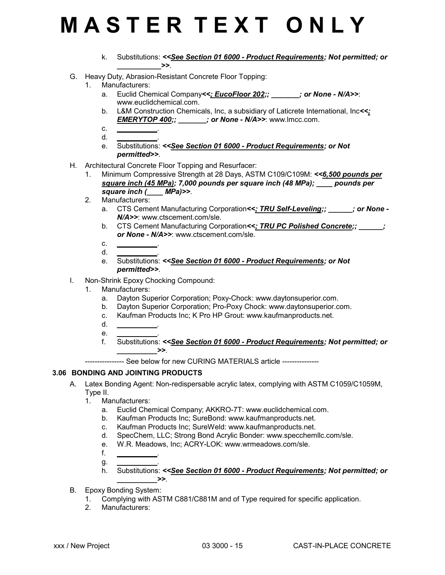- k. Substitutions: *<<See Section 01 6000 Product Requirements; Not permitted; or \_\_\_\_\_\_\_\_\_\_\_>>*.
- G. Heavy Duty, Abrasion-Resistant Concrete Floor Topping:
	- 1. Manufacturers:
		- a. Euclid Chemical Company<<; **EucoFloor 202;; https://www.francellangial/anglesion**  $\mathsf{P}(\mathsf{A} > \mathsf{B})$ www.euclidchemical.com.
		- b. L&M Construction Chemicals, Inc, a subsidiary of Laticrete International, Inc*<<; EMERYTOP 400;; \_\_\_\_\_\_\_; or None - N/A>>*: www.lmcc.com.
		- c. *\_\_\_\_\_\_\_\_\_\_*. d. *\_\_\_\_\_\_\_\_\_\_*.
		- e. Substitutions: *<<See Section 01 6000 Product Requirements; or Not permitted>>*.
- H. Architectural Concrete Floor Topping and Resurfacer:
	- 1. Minimum Compressive Strength at 28 Days, ASTM C109/C109M: *<<6,500 pounds per square inch (45 MPa); 7,000 pounds per square inch (48 MPa); \_\_\_\_ pounds per square inch (\_\_\_\_ MPa)>>*.
	- 2. Manufacturers:
		- a. CTS Cement Manufacturing Corporation<<; TRU Self-Leveling;;  $\cdot$  ; or None -*N/A>>*: www.ctscement.com/sle.
		- b. CTS Cement Manufacturing Corporation*<<; TRU PC Polished Concrete;; \_\_\_\_\_\_; or None - N/A>>*: www.ctscement.com/sle.
		- c. *\_\_\_\_\_\_\_\_\_\_*. d. *\_\_\_\_\_\_\_\_\_\_*.
		- e. Substitutions: *<<See Section 01 6000 Product Requirements; or Not permitted>>*.
- I. Non-Shrink Epoxy Chocking Compound:
	- 1. Manufacturers:
		- a. Dayton Superior Corporation; Poxy-Chock: www.daytonsuperior.com.
		- b. Dayton Superior Corporation; Pro-Poxy Chock: www.daytonsuperior.com.
		- c. Kaufman Products Inc; K Pro HP Grout: www.kaufmanproducts.net.
		- d. *\_\_\_\_\_\_\_\_\_\_*.
		- e. *\_\_\_\_\_\_\_\_\_\_*.
		- f. Substitutions: *<<See Section 01 6000 Product Requirements; Not permitted; or*  $\rightarrow$

---------------- See below for new CURING MATERIALS article ---------------

### **3.06 BONDING AND JOINTING PRODUCTS**

- A. Latex Bonding Agent: Non-redispersable acrylic latex, complying with ASTM C1059/C1059M, Type II.
	- 1. Manufacturers:
		- a. Euclid Chemical Company; AKKRO-7T: www.euclidchemical.com.
		- b. Kaufman Products Inc; SureBond: www.kaufmanproducts.net.
		- c. Kaufman Products Inc; SureWeld: www.kaufmanproducts.net.
		- d. SpecChem, LLC; Strong Bond Acrylic Bonder: www.specchemllc.com/sle.
		- e. W.R. Meadows, Inc; ACRY-LOK: www.wrmeadows.com/sle.
		- f. *\_\_\_\_\_\_\_\_\_\_*.

*\_\_\_\_\_\_\_\_\_\_>>*.

- g. *\_\_\_\_\_\_\_\_\_\_*.
- h. Substitutions: *<<See Section 01 6000 Product Requirements; Not permitted; or*
- B. Epoxy Bonding System:
	- 1. Complying with ASTM C881/C881M and of Type required for specific application.
	- 2. Manufacturers: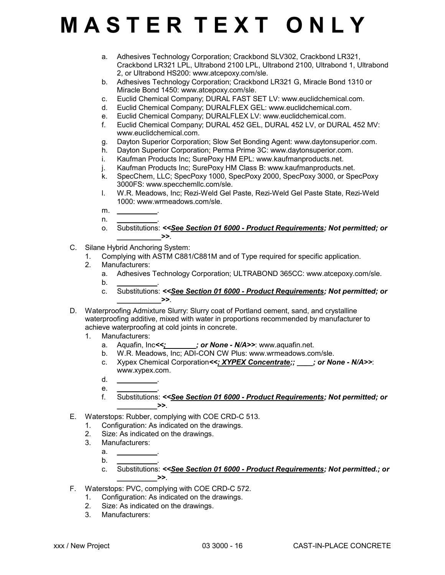- a. Adhesives Technology Corporation; Crackbond SLV302, Crackbond LR321, Crackbond LR321 LPL, Ultrabond 2100 LPL, Ultrabond 2100, Ultrabond 1, Ultrabond 2, or Ultrabond HS200: www.atcepoxy.com/sle.
- b. Adhesives Technology Corporation; Crackbond LR321 G, Miracle Bond 1310 or Miracle Bond 1450: www.atcepoxy.com/sle.
- c. Euclid Chemical Company; DURAL FAST SET LV: www.euclidchemical.com.
- d. Euclid Chemical Company; DURALFLEX GEL: www.euclidchemical.com.
- e. Euclid Chemical Company; DURALFLEX LV: www.euclidchemical.com.
- f. Euclid Chemical Company; DURAL 452 GEL, DURAL 452 LV, or DURAL 452 MV: www.euclidchemical.com.
- g. Dayton Superior Corporation; Slow Set Bonding Agent: www.daytonsuperior.com.
- h. Dayton Superior Corporation; Perma Prime 3C: www.daytonsuperior.com.
- i. Kaufman Products Inc; SurePoxy HM EPL: www.kaufmanproducts.net.
- j. Kaufman Products Inc; SurePoxy HM Class B: www.kaufmanproducts.net.<br>k. SpecChem. LLC: SpecPoxy 1000. SpecPoxy 2000. SpecPoxy 3000. or Spe
- SpecChem, LLC; SpecPoxy 1000, SpecPoxy 2000, SpecPoxy 3000, or SpecPoxy 3000FS: www.specchemllc.com/sle.
- l. W.R. Meadows, Inc; Rezi-Weld Gel Paste, Rezi-Weld Gel Paste State, Rezi-Weld 1000: www.wrmeadows.com/sle.
- m. *\_\_\_\_\_\_\_\_\_\_*.
- n. *\_\_\_\_\_\_\_\_\_\_*. o. Substitutions: *<<See Section 01 6000 - Product Requirements; Not permitted; or*  $\rightarrow$
- C. Silane Hybrid Anchoring System:
	- 1. Complying with ASTM C881/C881M and of Type required for specific application.
	- 2. Manufacturers:
		- a. Adhesives Technology Corporation; ULTRABOND 365CC: www.atcepoxy.com/sle.
		- b. *\_\_\_\_\_\_\_\_\_\_*.
		- c. Substitutions: *<<See Section 01 6000 Product Requirements; Not permitted; or*  $\rightarrow$
- D. Waterproofing Admixture Slurry: Slurry coat of Portland cement, sand, and crystalline waterproofing additive, mixed with water in proportions recommended by manufacturer to achieve waterproofing at cold joints in concrete.
	- 1. Manufacturers:
		- a. Aquafin, Inc*<<; \_\_\_\_\_\_\_; or None N/A>>*: www.aquafin.net.
		- b. W.R. Meadows, Inc; ADI-CON CW Plus: www.wrmeadows.com/sle.
		- c. Xypex Chemical Corporation*<<; XYPEX Concentrate;; \_\_\_\_; or None N/A>>*: www.xypex.com.
		- d. *\_\_\_\_\_\_\_\_\_\_*.
		- e. *\_\_\_\_\_\_\_\_\_\_*.
		- f. Substitutions: *<<See Section 01 6000 Product Requirements; Not permitted; or*  $\rightarrow$
- E. Waterstops: Rubber, complying with COE CRD-C 513.
	- 1. Configuration: As indicated on the drawings.
	- 2. Size: As indicated on the drawings.
	- 3. Manufacturers:
		- a. *\_\_\_\_\_\_\_\_\_\_*. b. *\_\_\_\_\_\_\_\_\_\_*.
		- c. Substitutions: *<<See Section 01 6000 Product Requirements; Not permitted.; or*  $\rightarrow$
- F. Waterstops: PVC, complying with COE CRD-C 572.
	- 1. Configuration: As indicated on the drawings.
	- 2. Size: As indicated on the drawings.
	- 3. Manufacturers: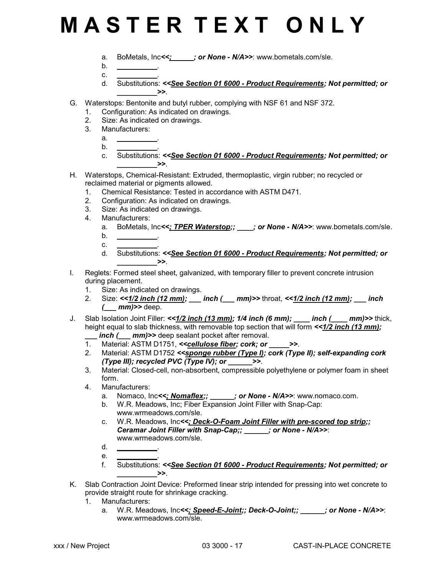- a. BoMetals, Inc*<<; \_\_\_\_\_; or None N/A>>*: www.bometals.com/sle.
- b. *\_\_\_\_\_\_\_\_\_\_*.
- c. *\_\_\_\_\_\_\_\_\_\_*.
- d. Substitutions: *<<See Section 01 6000 Product Requirements; Not permitted; or*  $\rightarrow$
- G. Waterstops: Bentonite and butyl rubber, complying with NSF 61 and NSF 372.
	- 1. Configuration: As indicated on drawings.
	- 2. Size: As indicated on drawings.
	- 3. Manufacturers:
		- a. *\_\_\_\_\_\_\_\_\_\_*.
		- b. *\_\_\_\_\_\_\_\_\_\_*.
		- c. Substitutions: *<<See Section 01 6000 Product Requirements; Not permitted; or \_\_\_\_\_\_\_\_\_\_>>*.
- H. Waterstops, Chemical-Resistant: Extruded, thermoplastic, virgin rubber; no recycled or reclaimed material or pigments allowed.
	- 1. Chemical Resistance: Tested in accordance with ASTM D471.
	- 2. Configuration: As indicated on drawings.
	- 3. Size: As indicated on drawings.<br>4. Manufacturers:
	- Manufacturers:
		- a. BoMetals, Inc<<; TPER Waterstop;; \_\_\_\_; or None N/A>>: www.bometals.com/sle.
		- b. *\_\_\_\_\_\_\_\_\_\_*.
		- c. *\_\_\_\_\_\_\_\_\_\_*.
		- d. Substitutions: *<<See Section 01 6000 Product Requirements; Not permitted; or*  $\rightarrow$
- I. Reglets: Formed steel sheet, galvanized, with temporary filler to prevent concrete intrusion during placement.
	- 1. Size: As indicated on drawings.
	- 2. Size: *<<1/2 inch (12 mm); \_\_\_ inch (\_\_\_ mm)>>* throat, *<<1/2 inch (12 mm); \_\_\_ inch (\_\_\_ mm)>>* deep.
- J. Slab Isolation Joint Filler: <<**1/2 inch (13 mm); 1/4 inch (6 mm); \_\_\_ inch (\_\_\_ mm)>>** thick, height equal to slab thickness, with removable top section that will form  $\langle$  -1/2 inch (13 mm);

*inch (\_\_\_ mm)>>* deep sealant pocket after removal.

- 1. Material: ASTM D1751, *<<cellulose fiber; cork; or \_\_\_\_\_>>*.
- 2. Material: ASTM D1752 *<<sponge rubber (Type I); cork (Type II); self-expanding cork (Type III); recycled PVC (Type IV); or \_\_\_\_\_\_>>*.
- 3. Material: Closed-cell, non-absorbent, compressible polyethylene or polymer foam in sheet form.
- 4. Manufacturers:
	- a. Nomaco, Inc<<; Nomaflex;;  $\qquad$ ; or None N/A>>: www.nomaco.com.
	- b. W.R. Meadows, Inc; Fiber Expansion Joint Filler with Snap-Cap: www.wrmeadows.com/sle.
	- c. W.R. Meadows, Inc*<<; Deck-O-Foam Joint Filler with pre-scored top strip;; Ceramar Joint Filler with Snap-Cap;; \_\_\_\_\_\_; or None - N/A>>*: www.wrmeadows.com/sle.
	- d. *\_\_\_\_\_\_\_\_\_\_*.
	- e. *\_\_\_\_\_\_\_\_\_\_*.
	- f. Substitutions: *<<See Section 01 6000 Product Requirements; Not permitted; or*  $\rightarrow$
- K. Slab Contraction Joint Device: Preformed linear strip intended for pressing into wet concrete to provide straight route for shrinkage cracking.
	- 1. Manufacturers:
		- a. W.R. Meadows, Inc*<<; Speed-E-Joint;; Deck-O-Joint;; \_\_\_\_\_\_; or None N/A>>*: www.wrmeadows.com/sle.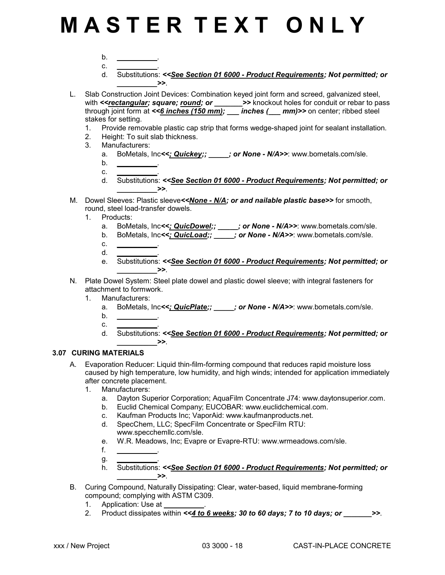- b. *\_\_\_\_\_\_\_\_\_\_*.
- c. *\_\_\_\_\_\_\_\_\_\_*.
- d. Substitutions: *<<See Section 01 6000 Product Requirements; Not permitted; or*  $\rightarrow$
- L. Slab Construction Joint Devices: Combination keyed joint form and screed, galvanized steel, with <<<u>rectangular</u>; square; <u>round</u>; or \_\_\_\_\_\_\_>> knockout holes for conduit or rebar to pass through joint form at *<<6 inches (150 mm); \_\_\_ inches (\_\_\_ mm)>>* on center; ribbed steel stakes for setting.
	- 1. Provide removable plastic cap strip that forms wedge-shaped joint for sealant installation.
	- 2. Height: To suit slab thickness.
	- 3. Manufacturers:
		- a. BoMetals, Inc<<; **Quickey;; \_\_\_\_\_; or None N/A>>**: www.bometals.com/sle.
		- b. *\_\_\_\_\_\_\_\_\_\_*.
		- c. *\_\_\_\_\_\_\_\_\_\_*.
		- d. Substitutions: *<<See Section 01 6000 Product Requirements; Not permitted; or*  $\rightarrow$
- M. Dowel Sleeves: Plastic sleeve*<<None N/A; or and nailable plastic base>>* for smooth, round, steel load-transfer dowels.
	- 1. Products:
		- a. BoMetals, Inc*<<; QuicDowel;; \_\_\_\_\_; or None N/A>>*: www.bometals.com/sle.
		- b. BoMetals, Inc*<<; QuicLoad;; \_\_\_\_\_; or None N/A>>*: www.bometals.com/sle.
		- c. *\_\_\_\_\_\_\_\_\_\_*. d. *\_\_\_\_\_\_\_\_\_\_*.
		- e. Substitutions: *<<See Section 01 6000 Product Requirements; Not permitted; or*  $\rightarrow$
- N. Plate Dowel System: Steel plate dowel and plastic dowel sleeve; with integral fasteners for attachment to formwork.
	- 1. Manufacturers:
		- a. BoMetals, Inc<<; **QuicPlate;; \_\_\_\_\_; or None N/A>>**: www.bometals.com/sle.
		- b. *\_\_\_\_\_\_\_\_\_\_*.
		- c. *\_\_\_\_\_\_\_\_\_\_*. d. Substitutions: *<<See Section 01 6000 - Product Requirements; Not permitted; or*  $\rightarrow$

### **3.07 CURING MATERIALS**

- A. Evaporation Reducer: Liquid thin-film-forming compound that reduces rapid moisture loss caused by high temperature, low humidity, and high winds; intended for application immediately after concrete placement.
	- 1. Manufacturers:
		- a. Dayton Superior Corporation; AquaFilm Concentrate J74: www.daytonsuperior.com.
		- b. Euclid Chemical Company; EUCOBAR: www.euclidchemical.com.
		- c. Kaufman Products Inc; VaporAid: www.kaufmanproducts.net.
		- d. SpecChem, LLC; SpecFilm Concentrate or SpecFilm RTU: www.specchemllc.com/sle.
		- e. W.R. Meadows, Inc; Evapre or Evapre-RTU: www.wrmeadows.com/sle.
		- f. *\_\_\_\_\_\_\_\_\_\_*.
		- g. *\_\_\_\_\_\_\_\_\_\_*.
		- h. Substitutions: *<<See Section 01 6000 Product Requirements; Not permitted; or*  $\ge$
- B. Curing Compound, Naturally Dissipating: Clear, water-based, liquid membrane-forming compound; complying with ASTM C309.
	- 1. Application: Use at
	- 2. Product dissipates within *<<4 to 6 weeks; 30 to 60 days; 7 to 10 days; or \_\_\_\_\_\_\_>>*.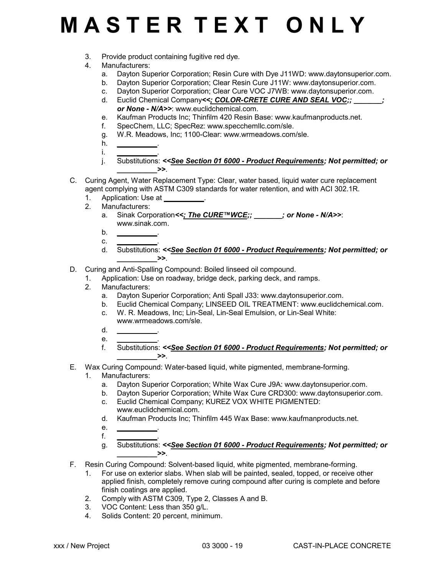- 3. Provide product containing fugitive red dye.
- 4. Manufacturers:
	- a. Dayton Superior Corporation; Resin Cure with Dye J11WD: www.daytonsuperior.com.
	- b. Dayton Superior Corporation; Clear Resin Cure J11W: www.daytonsuperior.com.
	- c. Dayton Superior Corporation; Clear Cure VOC J7WB: www.daytonsuperior.com.
	- d. Euclid Chemical Company<<; COLOR-CRETE CURE AND SEAL VOC;; *or None - N/A>>*: www.euclidchemical.com.
	- e. Kaufman Products Inc; Thinfilm 420 Resin Base: www.kaufmanproducts.net.
	- f. SpecChem, LLC; SpecRez: www.specchemllc.com/sle.
	- g. W.R. Meadows, Inc; 1100-Clear: www.wrmeadows.com/sle.
	- h. *\_\_\_\_\_\_\_\_\_\_*.
	- i. *\_\_\_\_\_\_\_\_\_\_*. j. Substitutions: *<<See Section 01 6000 - Product Requirements; Not permitted; or*  $\rightarrow$
- C. Curing Agent, Water Replacement Type: Clear, water based, liquid water cure replacement agent complying with ASTM C309 standards for water retention, and with ACI 302.1R.
	- 1. Application: Use at
	- 2. Manufacturers:
		- a. Sinak Corporation*<<; The CURE™WCE;; \_\_\_\_\_\_\_; or None N/A>>*: www.sinak.com.
		- b. *\_\_\_\_\_\_\_\_\_\_*.
		- c. *\_\_\_\_\_\_\_\_\_\_*.
		- d. Substitutions: *<<See Section 01 6000 Product Requirements; Not permitted; or*  $\rightarrow$
- D. Curing and Anti-Spalling Compound: Boiled linseed oil compound.
	- 1. Application: Use on roadway, bridge deck, parking deck, and ramps.
	- 2. Manufacturers:
		- a. Dayton Superior Corporation; Anti Spall J33: www.daytonsuperior.com.
		- b. Euclid Chemical Company; LINSEED OIL TREATMENT: www.euclidchemical.com.
		- c. W. R. Meadows, Inc; Lin-Seal, Lin-Seal Emulsion, or Lin-Seal White: www.wrmeadows.com/sle.
		- d. *\_\_\_\_\_\_\_\_\_\_*.
		- e. *\_\_\_\_\_\_\_\_\_\_*.
		- f. Substitutions: *<<See Section 01 6000 Product Requirements; Not permitted; or*  $\rightarrow$
- E. Wax Curing Compound: Water-based liquid, white pigmented, membrane-forming.
	- 1. Manufacturers:
		- a. Dayton Superior Corporation; White Wax Cure J9A: www.daytonsuperior.com.
		- b. Dayton Superior Corporation; White Wax Cure CRD300: www.daytonsuperior.com.
		- c. Euclid Chemical Company; KUREZ VOX WHITE PIGMENTED: www.euclidchemical.com.
		- d. Kaufman Products Inc; Thinfilm 445 Wax Base: www.kaufmanproducts.net.
		- e. *\_\_\_\_\_\_\_\_\_\_*.
		- f. *\_\_\_\_\_\_\_\_\_\_*.
		- g. Substitutions: *<<See Section 01 6000 Product Requirements; Not permitted; or \_\_\_\_\_\_\_\_\_\_>>*.
- F. Resin Curing Compound: Solvent-based liquid, white pigmented, membrane-forming.
	- 1. For use on exterior slabs. When slab will be painted, sealed, topped, or receive other applied finish, completely remove curing compound after curing is complete and before finish coatings are applied.
	- 2. Comply with ASTM C309, Type 2, Classes A and B.
	- 3. VOC Content: Less than 350 g/L.
	- 4. Solids Content: 20 percent, minimum.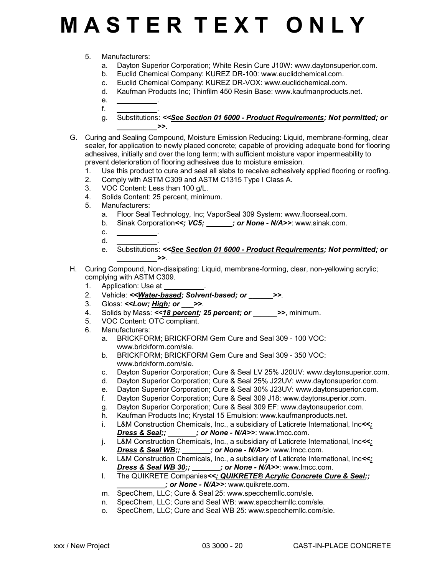### 5. Manufacturers:

- a. Dayton Superior Corporation; White Resin Cure J10W: www.daytonsuperior.com.
- b. Euclid Chemical Company: KUREZ DR-100: www.euclidchemical.com.
- c. Euclid Chemical Company: KUREZ DR-VOX: www.euclidchemical.com.
- d. Kaufman Products Inc; Thinfilm 450 Resin Base: www.kaufmanproducts.net.
- e. *\_\_\_\_\_\_\_\_\_\_*.
- f. *\_\_\_\_\_\_\_\_\_\_*. g. Substitutions: *<<See Section 01 6000 - Product Requirements; Not permitted; or \_\_\_\_\_\_\_\_\_\_>>*.
- G. Curing and Sealing Compound, Moisture Emission Reducing: Liquid, membrane-forming, clear sealer, for application to newly placed concrete; capable of providing adequate bond for flooring adhesives, initially and over the long term; with sufficient moisture vapor impermeability to prevent deterioration of flooring adhesives due to moisture emission.
	- 1. Use this product to cure and seal all slabs to receive adhesively applied flooring or roofing.<br>2. Comply with ASTM C309 and ASTM C1315 Type I Class A.
	- 2. Comply with ASTM C309 and ASTM C1315 Type I Class A.
	- 3. VOC Content: Less than 100 g/L.
	- 4. Solids Content: 25 percent, minimum.
	- 5. Manufacturers:
		- a. Floor Seal Technology, Inc; VaporSeal 309 System: www.floorseal.com.
		- b. Sinak Corporation <<; VC5; \_\_\_\_\_\_; or None N/A>>: www.sinak.com.
		- c. *\_\_\_\_\_\_\_\_\_\_*.
		- d. *\_\_\_\_\_\_\_\_\_\_*.
		- e. Substitutions: *<<See Section 01 6000 Product Requirements; Not permitted; or*  $\rightarrow$
- H. Curing Compound, Non-dissipating: Liquid, membrane-forming, clear, non-yellowing acrylic; complying with ASTM C309.
	- 1. Application: Use at
	- 2. Vehicle: *<<Water-based; Solvent-based; or \_\_\_\_\_\_>>*.
	- 3. Gloss: *<<Low; High; or \_\_\_>>*.
	- 4. Solids by Mass: *<<18 percent; 25 percent; or \_\_\_\_\_\_>>*, minimum.
	- 5. VOC Content: OTC compliant.
	- 6. Manufacturers:
		- a. BRICKFORM; BRICKFORM Gem Cure and Seal 309 100 VOC: www.brickform.com/sle.
		- b. BRICKFORM; BRICKFORM Gem Cure and Seal 309 350 VOC: www.brickform.com/sle.
		- c. Dayton Superior Corporation; Cure & Seal LV 25% J20UV: www.daytonsuperior.com.
		- d. Dayton Superior Corporation; Cure & Seal 25% J22UV: www.daytonsuperior.com.
		- e. Dayton Superior Corporation; Cure & Seal 30% J23UV: www.daytonsuperior.com.
		- f. Dayton Superior Corporation; Cure & Seal 309 J18: www.daytonsuperior.com.
		- g. Dayton Superior Corporation; Cure & Seal 309 EF: www.daytonsuperior.com.
		- h. Kaufman Products Inc; Krystal 15 Emulsion: www.kaufmanproducts.net.
		- i. L&M Construction Chemicals, Inc., a subsidiary of Laticrete International, Inc*<<; Dress & Seal;; \_\_\_\_\_\_\_; or None - N/A>>*: www.lmcc.com.
		- j. L&M Construction Chemicals, Inc., a subsidiary of Laticrete International, Inc*<<; Dress & Seal WB;; \_\_\_\_\_\_\_; or None - N/A>>*: www.lmcc.com.
		- k. L&M Construction Chemicals, Inc., a subsidiary of Laticrete International, Inc*<<; Dress & Seal WB 30;; \_\_\_\_\_\_\_; or None - N/A>>*: www.lmcc.com.
		- l. The QUIKRETE Companies*<<; QUIKRETE® Acrylic Concrete Cure & Seal;; \_\_\_\_\_\_\_\_\_\_\_\_; or None - N/A>>*: www.quikrete.com.
		- m. SpecChem, LLC; Cure & Seal 25: www.specchemllc.com/sle.
		- n. SpecChem, LLC; Cure and Seal WB: www.specchemllc.com/sle.
		- o. SpecChem, LLC; Cure and Seal WB 25: www.specchemllc.com/sle.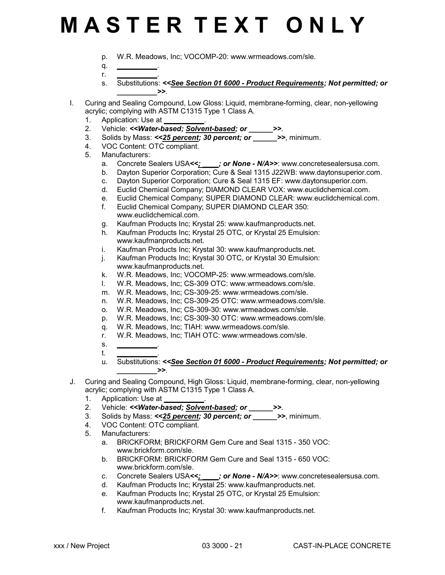- p. W.R. Meadows, Inc; VOCOMP-20: www.wrmeadows.com/sle.
- q. *\_\_\_\_\_\_\_\_\_\_*.
- r. *\_\_\_\_\_\_\_\_\_\_*.
- s. Substitutions: *<<See Section 01 6000 Product Requirements; Not permitted; or*  $\rightarrow$
- I. Curing and Sealing Compound, Low Gloss: Liquid, membrane-forming, clear, non-yellowing acrylic; complying with ASTM C1315 Type 1 Class A.
	- 1. Application: Use at
	- 2. Vehicle: *<<Water-based; Solvent-based; or \_\_\_\_\_\_>>*.
	- 3. Solids by Mass: *<<25 percent; 30 percent; or \_\_\_\_\_\_>>*, minimum.
	- 4. VOC Content: OTC compliant.
	- 5. Manufacturers:
		- a. Concrete Sealers USA*<<; \_\_\_\_; or None N/A>>*: www.concretesealersusa.com.
		- b. Dayton Superior Corporation; Cure & Seal 1315 J22WB: www.daytonsuperior.com.
		- c. Dayton Superior Corporation; Cure & Seal 1315 EF: www.daytonsuperior.com.
		- d. Euclid Chemical Company; DIAMOND CLEAR VOX: www.euclidchemical.com.
		- e. Euclid Chemical Company; SUPER DIAMOND CLEAR: www.euclidchemical.com.
		- f. Euclid Chemical Company; SUPER DIAMOND CLEAR 350: www.euclidchemical.com.
		- g. Kaufman Products Inc; Krystal 25: www.kaufmanproducts.net.
		- h. Kaufman Products Inc; Krystal 25 OTC, or Krystal 25 Emulsion: www.kaufmanproducts.net.
		- i. Kaufman Products Inc; Krystal 30: www.kaufmanproducts.net.
		- j. Kaufman Products Inc; Krystal 30 OTC, or Krystal 30 Emulsion: www.kaufmanproducts.net.
		- k. W.R. Meadows, Inc; VOCOMP-25: www.wrmeadows.com/sle.
		- l. W.R. Meadows, Inc; CS-309 OTC: www.wrmeadows.com/sle.
		- m. W.R. Meadows, Inc; CS-309-25: www.wrmeadows.com/sle.
		- n. W.R. Meadows, Inc; CS-309-25 OTC: www.wrmeadows.com/sle.
		- o. W.R. Meadows, Inc; CS-309-30: www.wrmeadows.com/sle.
		- p. W.R. Meadows, Inc; CS-309-30 OTC: www.wrmeadows.com/sle.
		- q. W.R. Meadows, Inc; TIAH: www.wrmeadows.com/sle.
		- r. W.R. Meadows, Inc; TIAH OTC: www.wrmeadows.com/sle.
		- s. *\_\_\_\_\_\_\_\_\_\_*.
		- t. *\_\_\_\_\_\_\_\_\_\_*.
		- u. Substitutions: *<<See Section 01 6000 Product Requirements; Not permitted; or*  $\rightarrow$
- J. Curing and Sealing Compound, High Gloss: Liquid, membrane-forming, clear, non-yellowing acrylic; complying with ASTM C1315 Type 1 Class A.
	- 1. Application: Use at
	- 2. Vehicle: *<<Water-based; Solvent-based; or \_\_\_\_\_\_>>*.
	- 3. Solids by Mass: *<<25 percent; 30 percent; or \_\_\_\_\_\_>>*, minimum.
	- 4. VOC Content: OTC compliant.
	- 5. Manufacturers:
		- a. BRICKFORM; BRICKFORM Gem Cure and Seal 1315 350 VOC: www.brickform.com/sle.
		- b. BRICKFORM: BRICKFORM Gem Cure and Seal 1315 650 VOC: www.brickform.com/sle.
		- c. Concrete Sealers USA*<<; \_\_\_\_; or None N/A>>*: www.concretesealersusa.com.
		- d. Kaufman Products Inc; Krystal 25: www.kaufmanproducts.net.
		- e. Kaufman Products Inc; Krystal 25 OTC, or Krystal 25 Emulsion: www.kaufmanproducts.net.
		- f. Kaufman Products Inc; Krystal 30: www.kaufmanproducts.net.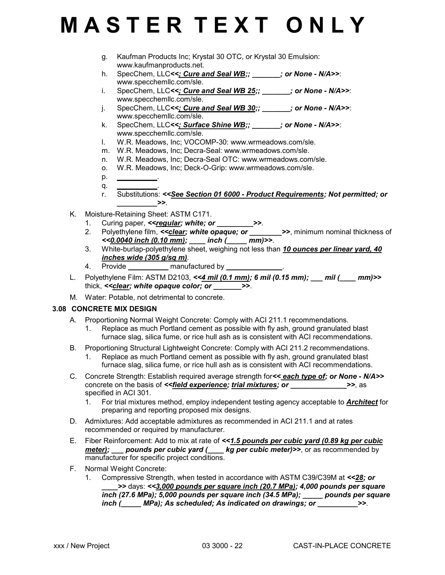- g. Kaufman Products Inc; Krystal 30 OTC, or Krystal 30 Emulsion: www.kaufmanproducts.net.
- h. SpecChem, LLC*<<; Cure and Seal WB;; \_\_\_\_\_\_\_; or None N/A>>*: www.specchemllc.com/sle.
- i. SpecChem, LLC<<; Cure and Seal WB 25;; \_\_\_\_\_\_; or None N/A>>: www.specchemllc.com/sle.
- j. SpecChem, LLC*<<; Cure and Seal WB 30;; \_\_\_\_\_\_\_; or None N/A>>*: www.specchemllc.com/sle.
- k. SpecChem, LLC*<<; Surface Shine WB;; \_\_\_\_\_\_\_; or None N/A>>*: www.specchemllc.com/sle.
- l. W.R. Meadows, Inc; VOCOMP-30: www.wrmeadows.com/sle.
- m. W.R. Meadows, Inc; Decra-Seal: www.wrmeadows.com/sle.
- n. W.R. Meadows, Inc; Decra-Seal OTC: www.wrmeadows.com/sle.
- o. W.R. Meadows, Inc; Deck-O-Grip: www.wrmeadows.com/sle.
- p. *\_\_\_\_\_\_\_\_\_\_*.
- q. *\_\_\_\_\_\_\_\_\_\_*. r. Substitutions: *<<See Section 01 6000 - Product Requirements; Not permitted; or \_\_\_\_\_\_\_\_\_\_>>*.
- K. Moisture-Retaining Sheet: ASTM C171.
	- 1. Curing paper, *<< regular; white; or \_\_\_\_\_\_\_\_\_\_\_ >>.*
	- 2. Polyethylene film, <<*clear; white opaque; or* \_\_\_\_\_\_\_>>, minimum nominal thickness of *<<0.0040 inch (0.10 mm); \_\_\_\_ inch (\_\_\_\_\_ mm)>>*.
	- 3. White-burlap-polyethylene sheet, weighing not less than *10 ounces per linear yard, 40 inches wide (305 g/sq m)*.
	- 4. Provide *\_\_\_\_\_\_\_\_\_\_* manufactured by *\_\_\_\_\_\_\_\_\_\_\_\_\_\_*.
- L. Polyethylene Film: ASTM D2103, *<<4 mil (0.1 mm); 6 mil (0.15 mm); \_\_\_ mil (\_\_\_\_ mm)>>* thick, *<<clear; white opaque color; or \_\_\_\_\_\_\_>>*.
- M. Water: Potable, not detrimental to concrete.

### **3.08 CONCRETE MIX DESIGN**

- A. Proportioning Normal Weight Concrete: Comply with ACI 211.1 recommendations.
	- 1. Replace as much Portland cement as possible with fly ash, ground granulated blast furnace slag, silica fume, or rice hull ash as is consistent with ACI recommendations.
- B. Proportioning Structural Lightweight Concrete: Comply with ACI 211.2 recommendations.
	- 1. Replace as much Portland cement as possible with fly ash, ground granulated blast furnace slag, silica fume, or rice hull ash as is consistent with ACI recommendations.
- C. Concrete Strength: Establish required average strength for*<< each type of; or None N/A>>* concrete on the basis of *<<field experience; trial mixtures; or \_\_\_\_\_\_\_\_\_\_\_\_\_\_>>*, as specified in ACI 301.
	- 1. For trial mixtures method, employ independent testing agency acceptable to *Architect* for preparing and reporting proposed mix designs.
- D. Admixtures: Add acceptable admixtures as recommended in ACI 211.1 and at rates recommended or required by manufacturer.
- E. Fiber Reinforcement: Add to mix at rate of *<<1.5 pounds per cubic yard (0.89 kg per cubic meter);* pounds per cubic yard ( \_\_\_\_ kg per cubic meter)>>, or as recommended by manufacturer for specific project conditions.
- F. Normal Weight Concrete:
	- 1. Compressive Strength, when tested in accordance with ASTM C39/C39M at *<<28; or \_\_\_\_>>* days: *<<3,000 pounds per square inch (20.7 MPa); 4,000 pounds per square inch (27.6 MPa); 5,000 pounds per square inch (34.5 MPa); \_\_\_\_\_ pounds per square inch (\_\_\_\_\_ MPa); As scheduled; As indicated on drawings; or \_\_\_\_\_\_\_\_\_\_>>*.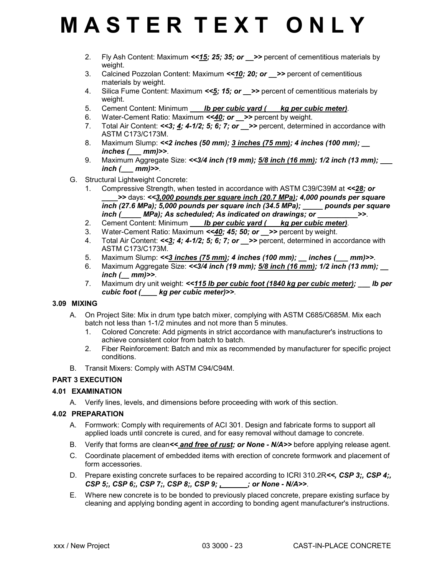- 2. Fly Ash Content: Maximum *<<15; 25; 35; or \_\_>>* percent of cementitious materials by weight.
- 3. Calcined Pozzolan Content: Maximum *<<10; 20; or \_\_>>* percent of cementitious materials by weight.
- 4. Silica Fume Content: Maximum *<<5; 15; or \_\_>>* percent of cementitious materials by weight.
- 5. Cement Content: Minimum *lb per cubic yard ( \_\_ kg per cubic meter).*
- 6. Water-Cement Ratio: Maximum *<<40; or \_\_>>* percent by weight.
- 7. Total Air Content:  $\leq 3$ ; 4; 4-1/2; 5; 6; 7; or >> percent, determined in accordance with ASTM C173/C173M.
- 8. Maximum Slump: *<<2 inches (50 mm); 3 inches (75 mm); 4 inches (100 mm); \_\_ inches (\_\_\_ mm)>>*.
- 9. Maximum Aggregate Size: *<<3/4 inch (19 mm); 5/8 inch (16 mm); 1/2 inch (13 mm); \_\_\_ inch (\_\_\_ mm)>>*.
- G. Structural Lightweight Concrete:
	- 1. Compressive Strength, when tested in accordance with ASTM C39/C39M at *<<28; or \_\_\_\_>>* days: *<<3,000 pounds per square inch (20.7 MPa); 4,000 pounds per square inch (27.6 MPa); 5,000 pounds per square inch (34.5 MPa); \_\_\_\_\_ pounds per square inch ( \_\_\_\_ MPa); As scheduled; As indicated on drawings; or*  $\rightarrow$  *>>.*
	- 2. Cement Content: Minimum *\_\_\_ lb per cubic yard (\_\_\_ kg per cubic meter)*.
	- 3. Water-Cement Ratio: Maximum *<<40; 45; 50; or \_\_>>* percent by weight.
	- 4. Total Air Content:  $\leq 3$ ; 4; 4-1/2; 5; 6; 7; or >> percent, determined in accordance with ASTM C173/C173M.
	- 5. Maximum Slump: *<<3 inches (75 mm); 4 inches (100 mm); \_\_ inches (\_\_\_ mm)>>*.
	- 6. Maximum Aggregate Size: <<3/4 inch (19 mm); 5/8 inch (16 mm); 1/2 inch (13 mm); *inch (\_\_ mm)>>*.
	- 7. Maximum dry unit weight: <<**115 lb per cubic foot (1840 kg per cubic meter); \_\_\_ lb per** *cubic foot (\_\_\_\_ kg per cubic meter)>>*.

### **3.09 MIXING**

- A. On Project Site: Mix in drum type batch mixer, complying with ASTM C685/C685M. Mix each batch not less than 1-1/2 minutes and not more than 5 minutes.
	- 1. Colored Concrete: Add pigments in strict accordance with manufacturer's instructions to achieve consistent color from batch to batch.
	- 2. Fiber Reinforcement: Batch and mix as recommended by manufacturer for specific project conditions.
- B. Transit Mixers: Comply with ASTM C94/C94M.

### **PART 3 EXECUTION**

### **4.01 EXAMINATION**

A. Verify lines, levels, and dimensions before proceeding with work of this section.

### **4.02 PREPARATION**

- A. Formwork: Comply with requirements of ACI 301. Design and fabricate forms to support all applied loads until concrete is cured, and for easy removal without damage to concrete.
- B. Verify that forms are clean*<< and free of rust; or None N/A>>* before applying release agent.
- C. Coordinate placement of embedded items with erection of concrete formwork and placement of form accessories.
- D. Prepare existing concrete surfaces to be repaired according to ICRI 310.2R*<<, CSP 3;, CSP 4;, CSP 5;, CSP 6;, CSP 7;, CSP 8;, CSP 9; , \_\_\_\_\_\_; or None - N/A>>*.
- E. Where new concrete is to be bonded to previously placed concrete, prepare existing surface by cleaning and applying bonding agent in according to bonding agent manufacturer's instructions.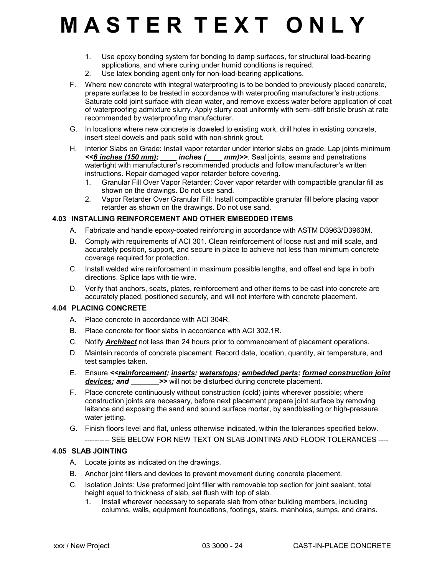- 1. Use epoxy bonding system for bonding to damp surfaces, for structural load-bearing applications, and where curing under humid conditions is required.
- 2. Use latex bonding agent only for non-load-bearing applications.
- F. Where new concrete with integral waterproofing is to be bonded to previously placed concrete, prepare surfaces to be treated in accordance with waterproofing manufacturer's instructions. Saturate cold joint surface with clean water, and remove excess water before application of coat of waterproofing admixture slurry. Apply slurry coat uniformly with semi-stiff bristle brush at rate recommended by waterproofing manufacturer.
- G. In locations where new concrete is doweled to existing work, drill holes in existing concrete, insert steel dowels and pack solid with non-shrink grout.
- H. Interior Slabs on Grade: Install vapor retarder under interior slabs on grade. Lap joints minimum *<<6 inches (150 mm); \_\_\_\_ inches (\_\_\_\_ mm)>>*. Seal joints, seams and penetrations watertight with manufacturer's recommended products and follow manufacturer's written instructions. Repair damaged vapor retarder before covering.
	- 1. Granular Fill Over Vapor Retarder: Cover vapor retarder with compactible granular fill as shown on the drawings. Do not use sand.
	- 2. Vapor Retarder Over Granular Fill: Install compactible granular fill before placing vapor retarder as shown on the drawings. Do not use sand.

### **4.03 INSTALLING REINFORCEMENT AND OTHER EMBEDDED ITEMS**

- A. Fabricate and handle epoxy-coated reinforcing in accordance with ASTM D3963/D3963M.
- B. Comply with requirements of ACI 301. Clean reinforcement of loose rust and mill scale, and accurately position, support, and secure in place to achieve not less than minimum concrete coverage required for protection.
- C. Install welded wire reinforcement in maximum possible lengths, and offset end laps in both directions. Splice laps with tie wire.
- D. Verify that anchors, seats, plates, reinforcement and other items to be cast into concrete are accurately placed, positioned securely, and will not interfere with concrete placement.

#### **4.04 PLACING CONCRETE**

- A. Place concrete in accordance with ACI 304R.
- B. Place concrete for floor slabs in accordance with ACI 302.1R.
- C. Notify *Architect* not less than 24 hours prior to commencement of placement operations.
- D. Maintain records of concrete placement. Record date, location, quantity, air temperature, and test samples taken.
- E. Ensure *<<reinforcement; inserts; waterstops; embedded parts; formed construction joint devices; and* >> will not be disturbed during concrete placement.
- F. Place concrete continuously without construction (cold) joints wherever possible; where construction joints are necessary, before next placement prepare joint surface by removing laitance and exposing the sand and sound surface mortar, by sandblasting or high-pressure water jetting.
- G. Finish floors level and flat, unless otherwise indicated, within the tolerances specified below. ---------- SEE BELOW FOR NEW TEXT ON SLAB JOINTING AND FLOOR TOLERANCES ----

### **4.05 SLAB JOINTING**

- A. Locate joints as indicated on the drawings.
- B. Anchor joint fillers and devices to prevent movement during concrete placement.
- C. Isolation Joints: Use preformed joint filler with removable top section for joint sealant, total height equal to thickness of slab, set flush with top of slab.
	- 1. Install wherever necessary to separate slab from other building members, including columns, walls, equipment foundations, footings, stairs, manholes, sumps, and drains.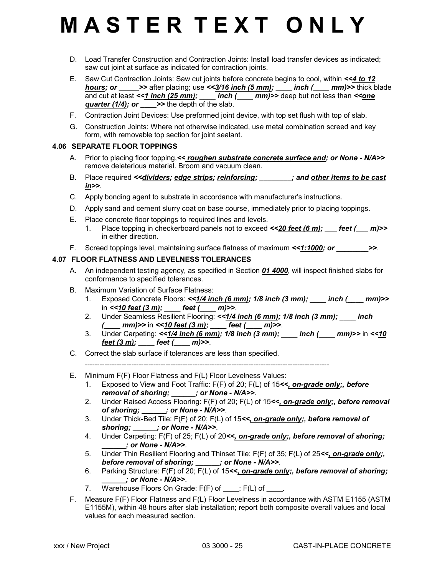- D. Load Transfer Construction and Contraction Joints: Install load transfer devices as indicated; saw cut joint at surface as indicated for contraction joints.
- E. Saw Cut Contraction Joints: Saw cut joints before concrete begins to cool, within *<<4 to 12 hours; or*  $\Rightarrow$  after placing; use  $\lt$  -3/16 inch (5 mm); \_\_\_ inch (\_\_\_ mm)>> thick blade and cut at least <<<u>1 inch (25 mm)</u>; \_\_\_\_ inch (\_\_\_\_ mm)>> deep but not less than <<<u>one</u> *guarter (1/4); or >>* the depth of the slab.
- F. Contraction Joint Devices: Use preformed joint device, with top set flush with top of slab.
- G. Construction Joints: Where not otherwise indicated, use metal combination screed and key form, with removable top section for joint sealant.

#### **4.06 SEPARATE FLOOR TOPPINGS**

- A. Prior to placing floor topping, << roughen substrate concrete surface and; or None N/A>> remove deleterious material. Broom and vacuum clean.
- B. Place required *<<dividers; edge strips; reinforcing; \_\_\_\_\_\_\_\_; and other items to be cast in>>*.
- C. Apply bonding agent to substrate in accordance with manufacturer's instructions.
- D. Apply sand and cement slurry coat on base course, immediately prior to placing toppings.
- E. Place concrete floor toppings to required lines and levels.
	- 1. Place topping in checkerboard panels not to exceed  $\leq 20$  feet (6 m); feet ( $m$ )>> in either direction.
- F. Screed toppings level, maintaining surface flatness of maximum <<**1:1000; or \_\_\_\_\_\_\_\_>>**.

### **4.07 FLOOR FLATNESS AND LEVELNESS TOLERANCES**

- A. An independent testing agency, as specified in Section *01 4000*, will inspect finished slabs for conformance to specified tolerances.
- B. Maximum Variation of Surface Flatness:
	- 1. Exposed Concrete Floors: <<<u>1/4 inch (6 mm)</u>; 1/8 inch (3 mm); \_\_\_\_ inch (\_\_\_\_ mm)>> in *<<10 feet (3 m); \_\_\_\_ feet (\_\_\_\_ m)>>*.
	- 2. Under Seamless Resilient Flooring: *<<1/4 inch (6 mm); 1/8 inch (3 mm); \_\_\_\_ inch (\_\_\_\_ mm)>>* in *<<10 feet (3 m); \_\_\_\_ feet (\_\_\_\_ m)>>*.
	- 3. Under Carpeting: *<<1/4 inch (6 mm); 1/8 inch (3 mm); \_\_\_\_ inch (\_\_\_\_ mm)>>* in *<<10 feet (3 m); \_\_\_\_ feet (\_\_\_\_ m)>>*.
- C. Correct the slab surface if tolerances are less than specified.

----------------------------------------------------------------------------------------------------

- E. Minimum F(F) Floor Flatness and F(L) Floor Levelness Values:
	- 1. Exposed to View and Foot Traffic: F(F) of 20; F(L) of 15*<<, on-grade only;, before removal of shoring; \_\_\_\_\_\_; or None - N/A>>*.
	- 2. Under Raised Access Flooring: F(F) of 20; F(L) of 15*<<, on-grade only;, before removal of shoring; \_\_\_\_\_\_; or None - N/A>>*.
	- 3. Under Thick-Bed Tile: F(F) of 20; F(L) of 15*<<, on-grade only;, before removal of shoring; \_\_\_\_\_\_; or None - N/A>>*.
	- 4. Under Carpeting: F(F) of 25; F(L) of 20*<<, on-grade only;, before removal of shoring; \_\_\_\_\_\_; or None - N/A>>*.
	- 5. Under Thin Resilient Flooring and Thinset Tile: F(F) of 35; F(L) of 25*<<, on-grade only;, before removal of shoring; \_\_\_\_\_\_; or None - N/A>>*.
	- 6. Parking Structure: F(F) of 20; F(L) of 15*<<, on-grade only;, before removal of shoring; \_\_\_\_\_\_; or None - N/A>>*.
	- 7. Warehouse Floors On Grade: F(F) of  $\Box$ ; F(L) of  $\Box$ .
- F. Measure F(F) Floor Flatness and F(L) Floor Levelness in accordance with ASTM E1155 (ASTM E1155M), within 48 hours after slab installation; report both composite overall values and local values for each measured section.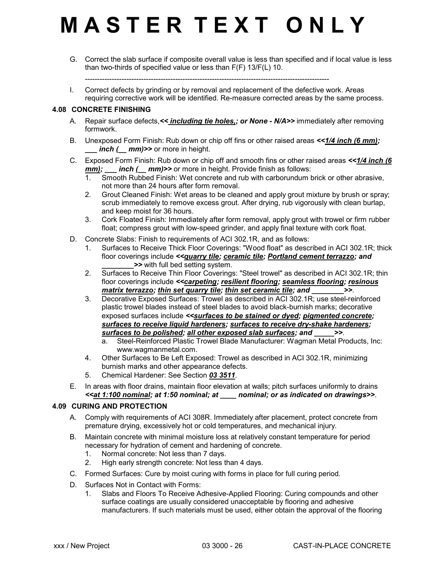G. Correct the slab surface if composite overall value is less than specified and if local value is less than two-thirds of specified value or less than F(F) 13/F(L) 10.

----------------------------------------------------------------------------------------------------

I. Correct defects by grinding or by removal and replacement of the defective work. Areas requiring corrective work will be identified. Re-measure corrected areas by the same process.

#### **4.08 CONCRETE FINISHING**

- A. Repair surface defects, << *including tie holes,; or None N/A>*> immediately after removing formwork.
- B. Unexposed Form Finish: Rub down or chip off fins or other raised areas *<<1/4 inch (6 mm); \_\_\_ inch (\_\_ mm)>>* or more in height.
- C. Exposed Form Finish: Rub down or chip off and smooth fins or other raised areas *<<1/4 inch (6 mm); \_\_\_ inch (\_\_ mm)>>* or more in height. Provide finish as follows:
	- 1. Smooth Rubbed Finish: Wet concrete and rub with carborundum brick or other abrasive, not more than 24 hours after form removal.
	- 2. Grout Cleaned Finish: Wet areas to be cleaned and apply grout mixture by brush or spray; scrub immediately to remove excess grout. After drying, rub vigorously with clean burlap, and keep moist for 36 hours.
	- 3. Cork Floated Finish: Immediately after form removal, apply grout with trowel or firm rubber float; compress grout with low-speed grinder, and apply final texture with cork float.
- D. Concrete Slabs: Finish to requirements of ACI 302.1R, and as follows:
	- 1. Surfaces to Receive Thick Floor Coverings: "Wood float" as described in ACI 302.1R; thick floor coverings include *<<quarry tile; ceramic tile; Portland cement terrazzo; and \_\_\_\_\_\_\_\_>>* with full bed setting system.
	- 2. Surfaces to Receive Thin Floor Coverings: "Steel trowel" as described in ACI 302.1R; thin floor coverings include *<<carpeting; resilient flooring; seamless flooring; resinous matrix terrazzo; thin set quarry tile; thin set ceramic tile; and \_\_\_\_\_\_\_\_>>*.
	- 3. Decorative Exposed Surfaces: Trowel as described in ACI 302.1R; use steel-reinforced plastic trowel blades instead of steel blades to avoid black-burnish marks; decorative exposed surfaces include *<<surfaces to be stained or dyed; pigmented concrete; surfaces to receive liquid hardeners; surfaces to receive dry-shake hardeners; surfaces to be polished; all other exposed slab surfaces; and \_\_\_\_\_>>*.
		- a. Steel-Reinforced Plastic Trowel Blade Manufacturer: Wagman Metal Products, Inc: www.wagmanmetal.com.
	- 4. Other Surfaces to Be Left Exposed: Trowel as described in ACI 302.1R, minimizing burnish marks and other appearance defects.
	- 5. Chemical Hardener: See Section *03 3511*.
- E. In areas with floor drains, maintain floor elevation at walls; pitch surfaces uniformly to drains *<<at 1:100 nominal; at 1:50 nominal; at \_\_\_\_ nominal; or as indicated on drawings>>*.

### **4.09 CURING AND PROTECTION**

- A. Comply with requirements of ACI 308R. Immediately after placement, protect concrete from premature drying, excessively hot or cold temperatures, and mechanical injury.
- B. Maintain concrete with minimal moisture loss at relatively constant temperature for period necessary for hydration of cement and hardening of concrete.
	- 1. Normal concrete: Not less than 7 days.
	- 2. High early strength concrete: Not less than 4 days.
- C. Formed Surfaces: Cure by moist curing with forms in place for full curing period.
- D. Surfaces Not in Contact with Forms:
	- 1. Slabs and Floors To Receive Adhesive-Applied Flooring: Curing compounds and other surface coatings are usually considered unacceptable by flooring and adhesive manufacturers. If such materials must be used, either obtain the approval of the flooring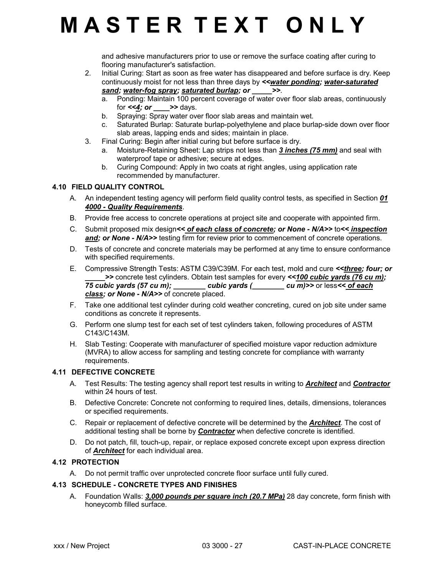and adhesive manufacturers prior to use or remove the surface coating after curing to flooring manufacturer's satisfaction.

- 2. Initial Curing: Start as soon as free water has disappeared and before surface is dry. Keep continuously moist for not less than three days by *<<water ponding; water-saturated sand; water-fog spray; saturated burlap; or \_\_\_\_\_>>*.
	- a. Ponding: Maintain 100 percent coverage of water over floor slab areas, continuously for  $<<\underline{4}$ ; or  $\_\_\_\_$  >> days.
	- b. Spraying: Spray water over floor slab areas and maintain wet.
	- c. Saturated Burlap: Saturate burlap-polyethylene and place burlap-side down over floor slab areas, lapping ends and sides; maintain in place.
- 3. Final Curing: Begin after initial curing but before surface is dry.
	- a. Moisture-Retaining Sheet: Lap strips not less than *3 inches (75 mm)* and seal with waterproof tape or adhesive; secure at edges.
	- b. Curing Compound: Apply in two coats at right angles, using application rate recommended by manufacturer.

### **4.10 FIELD QUALITY CONTROL**

- A. An independent testing agency will perform field quality control tests, as specified in Section *01 4000 - Quality Requirements*.
- B. Provide free access to concrete operations at project site and cooperate with appointed firm.
- C. Submit proposed mix design*<< of each class of concrete; or None N/A>>* to*<< inspection* **and; or None - N/A>>** testing firm for review prior to commencement of concrete operations.
- D. Tests of concrete and concrete materials may be performed at any time to ensure conformance with specified requirements.
- E. Compressive Strength Tests: ASTM C39/C39M. For each test, mold and cure *<<three; four; or \_\_\_\_\_>>* concrete test cylinders. Obtain test samples for every *<<100 cubic yards (76 cu m); 75 cubic yards (57 cu m); \_\_\_\_\_\_\_\_ cubic yards (\_\_\_\_\_\_\_\_ cu m)>>* or less*<< of each class; or None - N/A>>* of concrete placed.
- F. Take one additional test cylinder during cold weather concreting, cured on job site under same conditions as concrete it represents.
- G. Perform one slump test for each set of test cylinders taken, following procedures of ASTM C143/C143M.
- H. Slab Testing: Cooperate with manufacturer of specified moisture vapor reduction admixture (MVRA) to allow access for sampling and testing concrete for compliance with warranty requirements.

### **4.11 DEFECTIVE CONCRETE**

- A. Test Results: The testing agency shall report test results in writing to *Architect* and *Contractor* within 24 hours of test.
- B. Defective Concrete: Concrete not conforming to required lines, details, dimensions, tolerances or specified requirements.
- C. Repair or replacement of defective concrete will be determined by the *Architect*. The cost of additional testing shall be borne by *Contractor* when defective concrete is identified.
- D. Do not patch, fill, touch-up, repair, or replace exposed concrete except upon express direction of *Architect* for each individual area.

### **4.12 PROTECTION**

A. Do not permit traffic over unprotected concrete floor surface until fully cured.

### **4.13 SCHEDULE - CONCRETE TYPES AND FINISHES**

A. Foundation Walls: *3,000 pounds per square inch (20.7 MPa)* 28 day concrete, form finish with honeycomb filled surface.